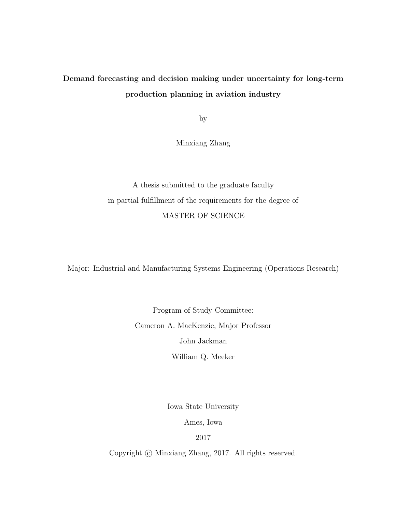## Demand forecasting and decision making under uncertainty for long-term production planning in aviation industry

by

Minxiang Zhang

A thesis submitted to the graduate faculty in partial fulfillment of the requirements for the degree of MASTER OF SCIENCE

Major: Industrial and Manufacturing Systems Engineering (Operations Research)

Program of Study Committee: Cameron A. MacKenzie, Major Professor John Jackman

William Q. Meeker

Iowa State University

Ames, Iowa

2017

Copyright  $\odot$  Minxiang Zhang, 2017. All rights reserved.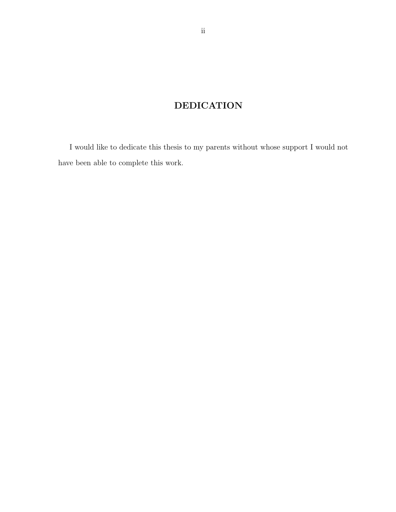## DEDICATION

I would like to dedicate this thesis to my parents without whose support I would not have been able to complete this work.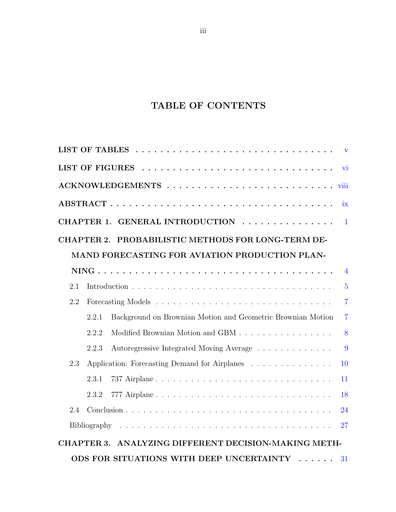## TABLE OF CONTENTS

|     |                |                                                             | $\mathbf{V}$             |  |
|-----|----------------|-------------------------------------------------------------|--------------------------|--|
|     |                |                                                             | $\overline{\mathbf{vi}}$ |  |
|     |                |                                                             |                          |  |
|     |                |                                                             | ix                       |  |
|     |                | CHAPTER 1. GENERAL INTRODUCTION                             | $\blacksquare$           |  |
|     |                | CHAPTER 2. PROBABILISTIC METHODS FOR LONG-TERM DE-          |                          |  |
|     |                | MAND FORECASTING FOR AVIATION PRODUCTION PLAN-              |                          |  |
|     |                |                                                             | $\overline{4}$           |  |
| 2.1 |                |                                                             | $\overline{5}$           |  |
| 2.2 | $\overline{7}$ |                                                             |                          |  |
|     | 2.2.1          | Background on Brownian Motion and Geometric Brownian Motion | $\overline{7}$           |  |
|     | 2.2.2          | Modified Brownian Motion and GBM                            | 8                        |  |
|     | 2.2.3          | Autoregressive Integrated Moving Average                    | 9                        |  |
| 2.3 |                | Application: Forecasting Demand for Airplanes               | 10                       |  |
|     | 2.3.1          |                                                             | 11                       |  |
|     | 2.3.2          | 777 Airplane                                                | 18                       |  |
| 2.4 |                |                                                             | 24                       |  |
|     |                |                                                             | 27                       |  |
|     |                | CHAPTER 3. ANALYZING DIFFERENT DECISION-MAKING METH-        |                          |  |
|     |                | ODS FOR SITUATIONS WITH DEEP UNCERTAINTY                    | 31                       |  |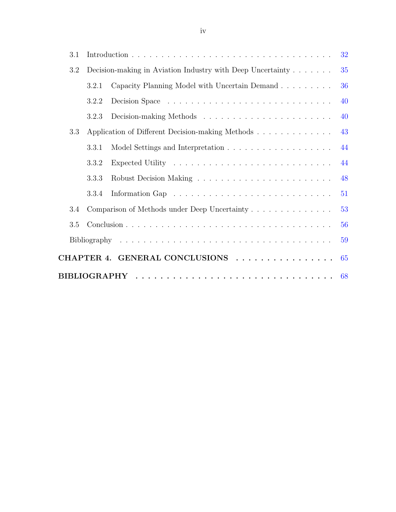| 3.1 |       |                                                            | 32 |
|-----|-------|------------------------------------------------------------|----|
| 3.2 |       | Decision-making in Aviation Industry with Deep Uncertainty | 35 |
|     | 3.2.1 | Capacity Planning Model with Uncertain Demand              | 36 |
|     | 3.2.2 |                                                            | 40 |
|     | 3.2.3 |                                                            | 40 |
| 3.3 |       | Application of Different Decision-making Methods           | 43 |
|     | 3.3.1 |                                                            | 44 |
|     | 3.3.2 |                                                            | 44 |
|     | 3.3.3 |                                                            | 48 |
|     | 3.3.4 |                                                            | 51 |
| 3.4 |       | Comparison of Methods under Deep Uncertainty               | 53 |
| 3.5 |       |                                                            | 56 |
|     |       |                                                            | 59 |
|     |       | CHAPTER 4. GENERAL CONCLUSIONS                             | 65 |
|     |       |                                                            |    |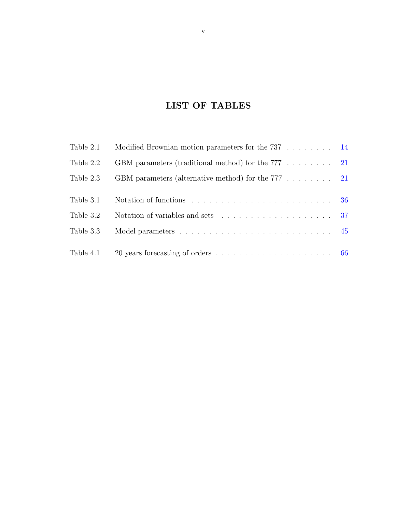## LIST OF TABLES

<span id="page-4-0"></span>

| Table 2.1 | Modified Brownian motion parameters for the $737$ 14                          |  |
|-----------|-------------------------------------------------------------------------------|--|
| Table 2.2 | GBM parameters (traditional method) for the $777$ $\ldots$ 21                 |  |
| Table 2.3 | GBM parameters (alternative method) for the $777$ 21                          |  |
|           |                                                                               |  |
| Table 3.1 |                                                                               |  |
| Table 3.2 | Notation of variables and sets $\ldots \ldots \ldots \ldots \ldots \ldots 37$ |  |
| Table 3.3 |                                                                               |  |
|           |                                                                               |  |
| Table 4.1 |                                                                               |  |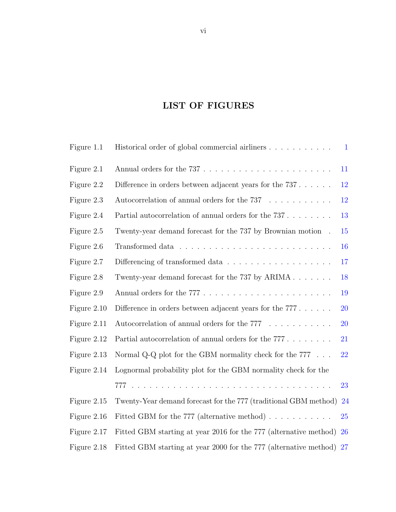## LIST OF FIGURES

<span id="page-5-0"></span>

| Figure 1.1  | Historical order of global commercial airliners                      | $\mathbf{1}$ |
|-------------|----------------------------------------------------------------------|--------------|
| Figure 2.1  |                                                                      | 11           |
| Figure 2.2  | Difference in orders between adjacent years for the $737$            | $12\,$       |
| Figure 2.3  | Autocorrelation of annual orders for the $737 \ldots \ldots \ldots$  | 12           |
| Figure 2.4  | Partial autocorrelation of annual orders for the $737$               | 13           |
| Figure 2.5  | Twenty-year demand forecast for the 737 by Brownian motion.          | 15           |
| Figure 2.6  |                                                                      | 16           |
| Figure 2.7  |                                                                      | 17           |
| Figure 2.8  | Twenty-year demand forecast for the 737 by $ARIMA \dots \dots$       | 18           |
| Figure 2.9  |                                                                      | 19           |
| Figure 2.10 | Difference in orders between adjacent years for the $777$            | 20           |
| Figure 2.11 | Autocorrelation of annual orders for the $777 \ldots \ldots \ldots$  | 20           |
| Figure 2.12 | Partial autocorrelation of annual orders for the $777$               | 21           |
| Figure 2.13 | Normal Q-Q plot for the GBM normality check for the $777 \ldots$ .   | 22           |
| Figure 2.14 | Lognormal probability plot for the GBM normality check for the       |              |
|             |                                                                      | 23           |
| Figure 2.15 | Twenty-Year demand forecast for the 777 (traditional GBM method)     | 24           |
| Figure 2.16 | Fitted GBM for the 777 (alternative method) $\ldots \ldots \ldots$   | 25           |
| Figure 2.17 | Fitted GBM starting at year 2016 for the 777 (alternative method)    | <b>26</b>    |
| Figure 2.18 | Fitted GBM starting at year 2000 for the 777 (alternative method) 27 |              |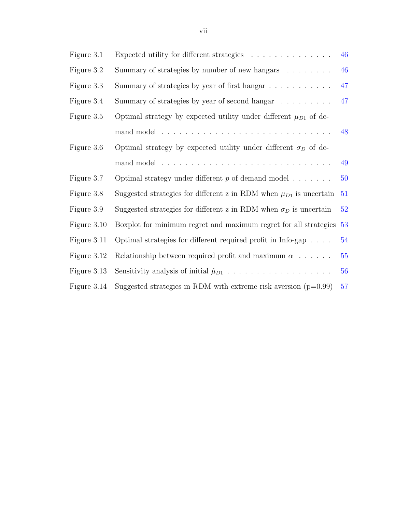| Figure 3.1  | Expected utility for different strategies                                                  | 46 |
|-------------|--------------------------------------------------------------------------------------------|----|
| Figure 3.2  | Summary of strategies by number of new hangars                                             | 46 |
| Figure 3.3  | Summary of strategies by year of first hangar                                              | 47 |
| Figure 3.4  | Summary of strategies by year of second hangar                                             | 47 |
| Figure 3.5  | Optimal strategy by expected utility under different $\mu_{D1}$ of de-                     |    |
|             |                                                                                            | 48 |
| Figure 3.6  | Optimal strategy by expected utility under different $\sigma_D$ of de-                     |    |
|             |                                                                                            | 49 |
| Figure 3.7  | Optimal strategy under different $p$ of demand model $\dots \dots$                         | 50 |
| Figure 3.8  | Suggested strategies for different z in RDM when $\mu_{D1}$ is uncertain                   | 51 |
| Figure 3.9  | Suggested strategies for different z in RDM when $\sigma_D$ is uncertain                   | 52 |
| Figure 3.10 | Boxplot for minimum regret and maximum regret for all strategies                           | 53 |
| Figure 3.11 | Optimal strategies for different required profit in Info-gap $\dots$ .                     | 54 |
| Figure 3.12 | Relationship between required profit and maximum $\alpha$                                  | 55 |
| Figure 3.13 | Sensitivity analysis of initial $\hat{\mu}_{D1} \dots \dots \dots \dots \dots \dots \dots$ | 56 |

Figure 3.14 Suggested strategies in RDM with extreme risk aversion  $(p=0.99)$  [57](#page-65-0)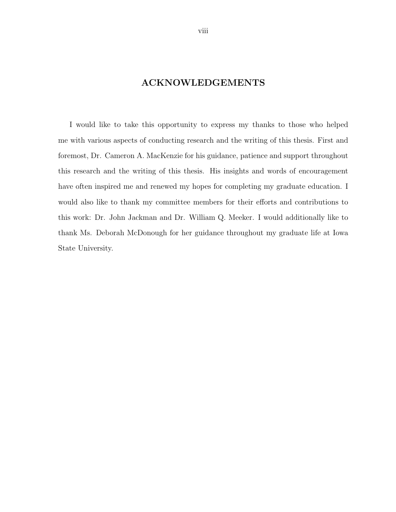### ACKNOWLEDGEMENTS

<span id="page-7-0"></span>I would like to take this opportunity to express my thanks to those who helped me with various aspects of conducting research and the writing of this thesis. First and foremost, Dr. Cameron A. MacKenzie for his guidance, patience and support throughout this research and the writing of this thesis. His insights and words of encouragement have often inspired me and renewed my hopes for completing my graduate education. I would also like to thank my committee members for their efforts and contributions to this work: Dr. John Jackman and Dr. William Q. Meeker. I would additionally like to thank Ms. Deborah McDonough for her guidance throughout my graduate life at Iowa State University.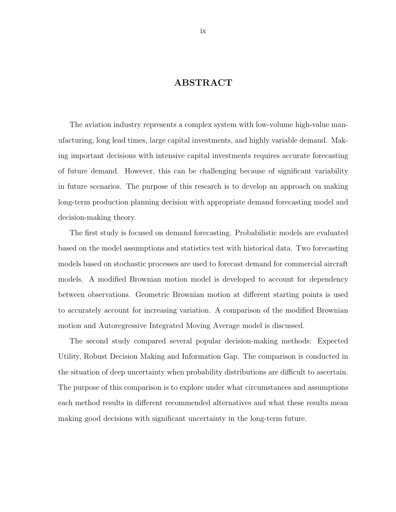### ABSTRACT

<span id="page-8-0"></span>The aviation industry represents a complex system with low-volume high-value manufacturing, long lead times, large capital investments, and highly variable demand. Making important decisions with intensive capital investments requires accurate forecasting of future demand. However, this can be challenging because of significant variability in future scenarios. The purpose of this research is to develop an approach on making long-term production planning decision with appropriate demand forecasting model and decision-making theory.

The first study is focused on demand forecasting. Probabilistic models are evaluated based on the model assumptions and statistics test with historical data. Two forecasting models based on stochastic processes are used to forecast demand for commercial aircraft models. A modified Brownian motion model is developed to account for dependency between observations. Geometric Brownian motion at different starting points is used to accurately account for increasing variation. A comparison of the modified Brownian motion and Autoregressive Integrated Moving Average model is discussed.

The second study compared several popular decision-making methods: Expected Utility, Robust Decision Making and Information Gap. The comparison is conducted in the situation of deep uncertainty when probability distributions are difficult to ascertain. The purpose of this comparison is to explore under what circumstances and assumptions each method results in different recommended alternatives and what these results mean making good decisions with significant uncertainty in the long-term future.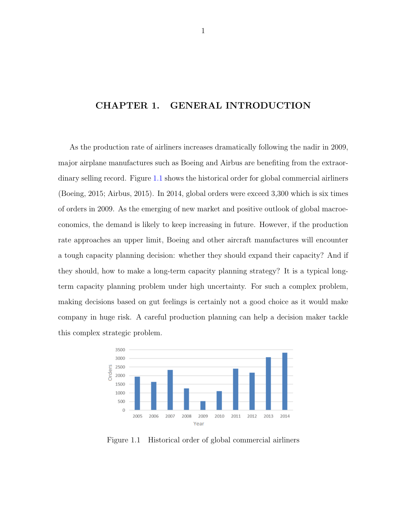### <span id="page-9-0"></span>CHAPTER 1. GENERAL INTRODUCTION

As the production rate of airliners increases dramatically following the nadir in 2009, major airplane manufactures such as Boeing and Airbus are benefiting from the extraordinary selling record. Figure 1.1 shows the historical order for global commercial airliners (Boeing, 2015; Airbus, 2015). In 2014, global orders were exceed 3,300 which is six times of orders in 2009. As the emerging of new market and positive outlook of global macroeconomics, the demand is likely to keep increasing in future. However, if the production rate approaches an upper limit, Boeing and other aircraft manufactures will encounter a tough capacity planning decision: whether they should expand their capacity? And if they should, how to make a long-term capacity planning strategy? It is a typical longterm capacity planning problem under high uncertainty. For such a complex problem, making decisions based on gut feelings is certainly not a good choice as it would make company in huge risk. A careful production planning can help a decision maker tackle this complex strategic problem.



Figure 1.1 Historical order of global commercial airliners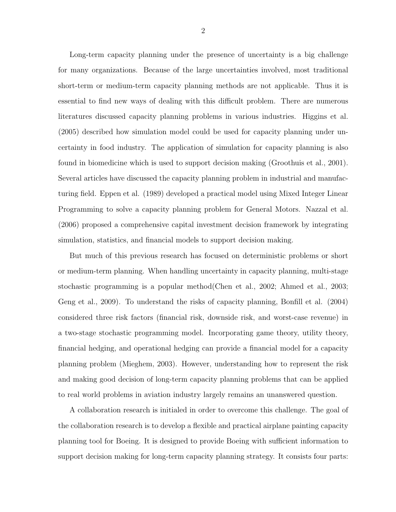Long-term capacity planning under the presence of uncertainty is a big challenge for many organizations. Because of the large uncertainties involved, most traditional short-term or medium-term capacity planning methods are not applicable. Thus it is essential to find new ways of dealing with this difficult problem. There are numerous literatures discussed capacity planning problems in various industries. Higgins et al. (2005) described how simulation model could be used for capacity planning under uncertainty in food industry. The application of simulation for capacity planning is also found in biomedicine which is used to support decision making (Groothuis et al., 2001). Several articles have discussed the capacity planning problem in industrial and manufacturing field. Eppen et al. (1989) developed a practical model using Mixed Integer Linear Programming to solve a capacity planning problem for General Motors. Nazzal et al. (2006) proposed a comprehensive capital investment decision framework by integrating simulation, statistics, and financial models to support decision making.

But much of this previous research has focused on deterministic problems or short or medium-term planning. When handling uncertainty in capacity planning, multi-stage stochastic programming is a popular method(Chen et al., 2002; Ahmed et al., 2003; Geng et al., 2009). To understand the risks of capacity planning, Bonfill et al. (2004) considered three risk factors (financial risk, downside risk, and worst-case revenue) in a two-stage stochastic programming model. Incorporating game theory, utility theory, financial hedging, and operational hedging can provide a financial model for a capacity planning problem (Mieghem, 2003). However, understanding how to represent the risk and making good decision of long-term capacity planning problems that can be applied to real world problems in aviation industry largely remains an unanswered question.

A collaboration research is initialed in order to overcome this challenge. The goal of the collaboration research is to develop a flexible and practical airplane painting capacity planning tool for Boeing. It is designed to provide Boeing with sufficient information to support decision making for long-term capacity planning strategy. It consists four parts: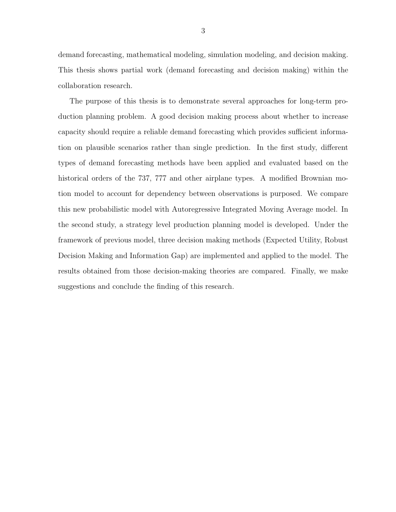demand forecasting, mathematical modeling, simulation modeling, and decision making. This thesis shows partial work (demand forecasting and decision making) within the collaboration research.

The purpose of this thesis is to demonstrate several approaches for long-term production planning problem. A good decision making process about whether to increase capacity should require a reliable demand forecasting which provides sufficient information on plausible scenarios rather than single prediction. In the first study, different types of demand forecasting methods have been applied and evaluated based on the historical orders of the 737, 777 and other airplane types. A modified Brownian motion model to account for dependency between observations is purposed. We compare this new probabilistic model with Autoregressive Integrated Moving Average model. In the second study, a strategy level production planning model is developed. Under the framework of previous model, three decision making methods (Expected Utility, Robust Decision Making and Information Gap) are implemented and applied to the model. The results obtained from those decision-making theories are compared. Finally, we make suggestions and conclude the finding of this research.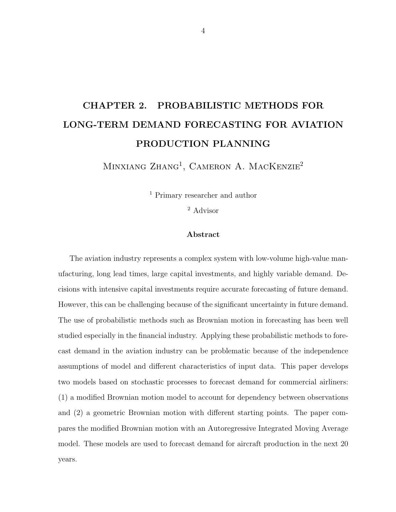# <span id="page-12-0"></span>CHAPTER 2. PROBABILISTIC METHODS FOR LONG-TERM DEMAND FORECASTING FOR AVIATION PRODUCTION PLANNING

MINXIANG ZHANG<sup>1</sup>, CAMERON A. MACKENZIE<sup>2</sup>

<sup>1</sup> Primary researcher and author

<sup>2</sup> Advisor

#### Abstract

The aviation industry represents a complex system with low-volume high-value manufacturing, long lead times, large capital investments, and highly variable demand. Decisions with intensive capital investments require accurate forecasting of future demand. However, this can be challenging because of the significant uncertainty in future demand. The use of probabilistic methods such as Brownian motion in forecasting has been well studied especially in the financial industry. Applying these probabilistic methods to forecast demand in the aviation industry can be problematic because of the independence assumptions of model and different characteristics of input data. This paper develops two models based on stochastic processes to forecast demand for commercial airliners: (1) a modified Brownian motion model to account for dependency between observations and (2) a geometric Brownian motion with different starting points. The paper compares the modified Brownian motion with an Autoregressive Integrated Moving Average model. These models are used to forecast demand for aircraft production in the next 20 years.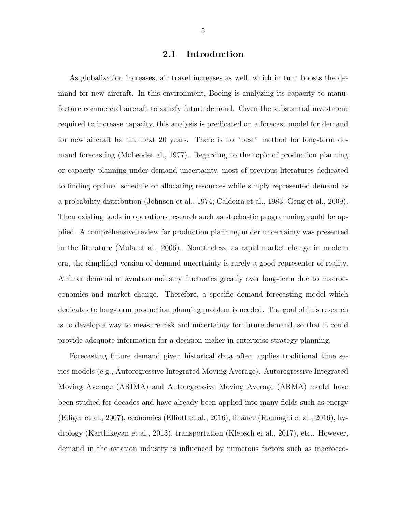#### 2.1 Introduction

<span id="page-13-0"></span>As globalization increases, air travel increases as well, which in turn boosts the demand for new aircraft. In this environment, Boeing is analyzing its capacity to manufacture commercial aircraft to satisfy future demand. Given the substantial investment required to increase capacity, this analysis is predicated on a forecast model for demand for new aircraft for the next 20 years. There is no "best" method for long-term demand forecasting (McLeodet al., 1977). Regarding to the topic of production planning or capacity planning under demand uncertainty, most of previous literatures dedicated to finding optimal schedule or allocating resources while simply represented demand as a probability distribution (Johnson et al., 1974; Caldeira et al., 1983; Geng et al., 2009). Then existing tools in operations research such as stochastic programming could be applied. A comprehensive review for production planning under uncertainty was presented in the literature (Mula et al., 2006). Nonetheless, as rapid market change in modern era, the simplified version of demand uncertainty is rarely a good representer of reality. Airliner demand in aviation industry fluctuates greatly over long-term due to macroeconomics and market change. Therefore, a specific demand forecasting model which dedicates to long-term production planning problem is needed. The goal of this research is to develop a way to measure risk and uncertainty for future demand, so that it could provide adequate information for a decision maker in enterprise strategy planning.

Forecasting future demand given historical data often applies traditional time series models (e.g., Autoregressive Integrated Moving Average). Autoregressive Integrated Moving Average (ARIMA) and Autoregressive Moving Average (ARMA) model have been studied for decades and have already been applied into many fields such as energy (Ediger et al., 2007), economics (Elliott et al., 2016), finance (Rounaghi et al., 2016), hydrology (Karthikeyan et al., 2013), transportation (Klepsch et al., 2017), etc.. However, demand in the aviation industry is influenced by numerous factors such as macroeco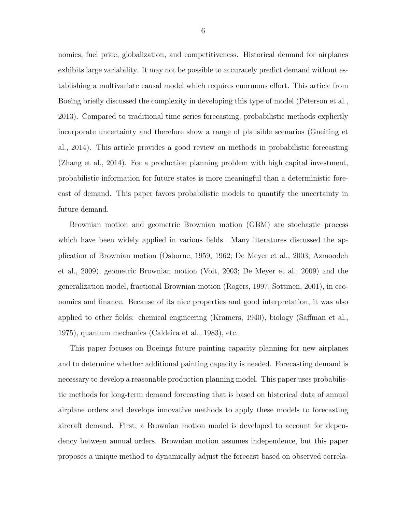nomics, fuel price, globalization, and competitiveness. Historical demand for airplanes exhibits large variability. It may not be possible to accurately predict demand without establishing a multivariate causal model which requires enormous effort. This article from Boeing briefly discussed the complexity in developing this type of model (Peterson et al., 2013). Compared to traditional time series forecasting, probabilistic methods explicitly incorporate uncertainty and therefore show a range of plausible scenarios (Gneiting et al., 2014). This article provides a good review on methods in probabilistic forecasting (Zhang et al., 2014). For a production planning problem with high capital investment, probabilistic information for future states is more meaningful than a deterministic forecast of demand. This paper favors probabilistic models to quantify the uncertainty in future demand.

Brownian motion and geometric Brownian motion (GBM) are stochastic process which have been widely applied in various fields. Many literatures discussed the application of Brownian motion (Osborne, 1959, 1962; De Meyer et al., 2003; Azmoodeh et al., 2009), geometric Brownian motion (Voit, 2003; De Meyer et al., 2009) and the generalization model, fractional Brownian motion (Rogers, 1997; Sottinen, 2001), in economics and finance. Because of its nice properties and good interpretation, it was also applied to other fields: chemical engineering (Kramers, 1940), biology (Saffman et al., 1975), quantum mechanics (Caldeira et al., 1983), etc..

This paper focuses on Boeings future painting capacity planning for new airplanes and to determine whether additional painting capacity is needed. Forecasting demand is necessary to develop a reasonable production planning model. This paper uses probabilistic methods for long-term demand forecasting that is based on historical data of annual airplane orders and develops innovative methods to apply these models to forecasting aircraft demand. First, a Brownian motion model is developed to account for dependency between annual orders. Brownian motion assumes independence, but this paper proposes a unique method to dynamically adjust the forecast based on observed correla-

6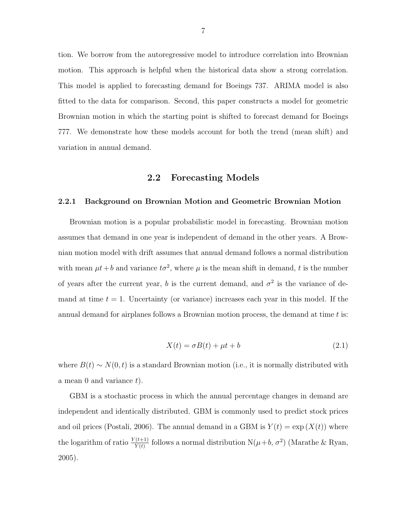<span id="page-15-0"></span>tion. We borrow from the autoregressive model to introduce correlation into Brownian motion. This approach is helpful when the historical data show a strong correlation. This model is applied to forecasting demand for Boeings 737. ARIMA model is also fitted to the data for comparison. Second, this paper constructs a model for geometric Brownian motion in which the starting point is shifted to forecast demand for Boeings 777. We demonstrate how these models account for both the trend (mean shift) and variation in annual demand.

#### 2.2 Forecasting Models

#### 2.2.1 Background on Brownian Motion and Geometric Brownian Motion

Brownian motion is a popular probabilistic model in forecasting. Brownian motion assumes that demand in one year is independent of demand in the other years. A Brownian motion model with drift assumes that annual demand follows a normal distribution with mean  $\mu t + b$  and variance  $t\sigma^2$ , where  $\mu$  is the mean shift in demand, t is the number of years after the current year, b is the current demand, and  $\sigma^2$  is the variance of demand at time  $t = 1$ . Uncertainty (or variance) increases each year in this model. If the annual demand for airplanes follows a Brownian motion process, the demand at time  $t$  is:

$$
X(t) = \sigma B(t) + \mu t + b \tag{2.1}
$$

where  $B(t) \sim N(0, t)$  is a standard Brownian motion (i.e., it is normally distributed with a mean 0 and variance  $t$ ).

GBM is a stochastic process in which the annual percentage changes in demand are independent and identically distributed. GBM is commonly used to predict stock prices and oil prices (Postali, 2006). The annual demand in a GBM is  $Y(t) = \exp(X(t))$  where the logarithm of ratio  $\frac{Y(t+1)}{Y(t)}$  follows a normal distribution  $N(\mu+b, \sigma^2)$  (Marathe & Ryan, 2005).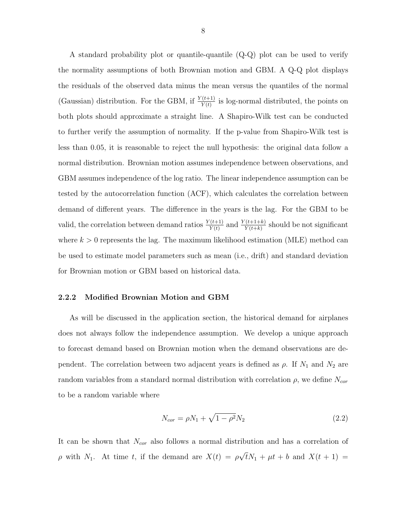<span id="page-16-0"></span>A standard probability plot or quantile-quantile (Q-Q) plot can be used to verify the normality assumptions of both Brownian motion and GBM. A Q-Q plot displays the residuals of the observed data minus the mean versus the quantiles of the normal (Gaussian) distribution. For the GBM, if  $\frac{Y(t+1)}{Y(t)}$  is log-normal distributed, the points on both plots should approximate a straight line. A Shapiro-Wilk test can be conducted to further verify the assumption of normality. If the p-value from Shapiro-Wilk test is less than 0.05, it is reasonable to reject the null hypothesis: the original data follow a normal distribution. Brownian motion assumes independence between observations, and GBM assumes independence of the log ratio. The linear independence assumption can be tested by the autocorrelation function (ACF), which calculates the correlation between demand of different years. The difference in the years is the lag. For the GBM to be valid, the correlation between demand ratios  $\frac{Y(t+1)}{Y(t)}$  and  $\frac{Y(t+1+k)}{Y(t+k)}$  should be not significant where  $k > 0$  represents the lag. The maximum likelihood estimation (MLE) method can be used to estimate model parameters such as mean (i.e., drift) and standard deviation for Brownian motion or GBM based on historical data.

#### 2.2.2 Modified Brownian Motion and GBM

As will be discussed in the application section, the historical demand for airplanes does not always follow the independence assumption. We develop a unique approach to forecast demand based on Brownian motion when the demand observations are dependent. The correlation between two adjacent years is defined as  $\rho$ . If  $N_1$  and  $N_2$  are random variables from a standard normal distribution with correlation  $\rho$ , we define  $N_{cor}$ to be a random variable where

$$
N_{cor} = \rho N_1 + \sqrt{1 - \rho^2} N_2 \tag{2.2}
$$

It can be shown that  $N_{cor}$  also follows a normal distribution and has a correlation of  $\rho$  with  $N_1$ . At time t, if the demand are  $X(t) = \rho$ √  $tN_1 + \mu t + b$  and  $X(t + 1) =$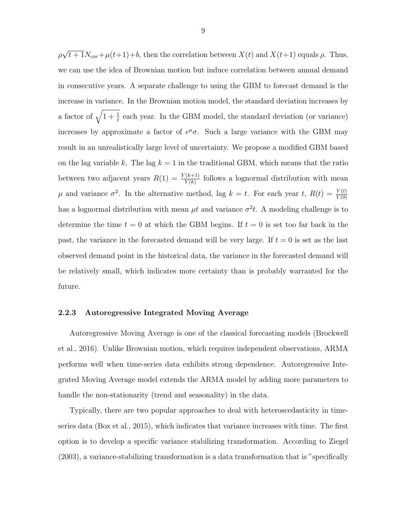<span id="page-17-0"></span>ρ √  $t + 1N_{cor} + \mu(t+1) + b$ , then the correlation between  $X(t)$  and  $X(t+1)$  equals  $\rho$ . Thus, we can use the idea of Brownian motion but induce correlation between annual demand in consecutive years. A separate challenge to using the GBM to forecast demand is the increase in variance. In the Brownian motion model, the standard deviation increases by a factor of  $\sqrt{1 + \frac{1}{t}}$  each year. In the GBM model, the standard deviation (or variance) increases by approximate a factor of  $e^{\mu}\sigma$ . Such a large variance with the GBM may result in an unrealistically large level of uncertainty. We propose a modified GBM based on the lag variable k. The lag  $k = 1$  in the traditional GBM, which means that the ratio between two adjacent years  $R(1) = \frac{Y(k+1)}{Y(k)}$  follows a lognormal distribution with mean  $\mu$  and variance  $\sigma^2$ . In the alternative method, lag  $k = t$ . For each year t,  $R(t) = \frac{Y(t)}{Y(0)}$ has a lognormal distribution with mean  $\mu t$  and variance  $\sigma^2 t$ . A modeling challenge is to determine the time  $t = 0$  at which the GBM begins. If  $t = 0$  is set too far back in the past, the variance in the forecasted demand will be very large. If  $t = 0$  is set as the last observed demand point in the historical data, the variance in the forecasted demand will be relatively small, which indicates more certainty than is probably warranted for the future.

#### 2.2.3 Autoregressive Integrated Moving Average

Autoregressive Moving Average is one of the classical forecasting models (Brockwell et al., 2016). Unlike Brownian motion, which requires independent observations, ARMA performs well when time-series data exhibits strong dependence. Autoregressive Integrated Moving Average model extends the ARMA model by adding more parameters to handle the non-stationarity (trend and seasonality) in the data.

Typically, there are two popular approaches to deal with heteroscedasticity in timeseries data (Box et al., 2015), which indicates that variance increases with time. The first option is to develop a specific variance stabilizing transformation. According to Ziegel (2003), a variance-stabilizing transformation is a data transformation that is "specifically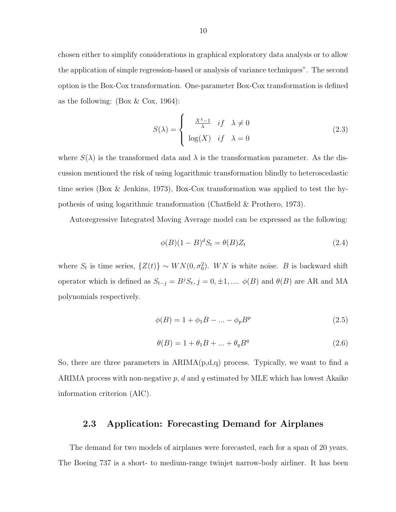<span id="page-18-0"></span>chosen either to simplify considerations in graphical exploratory data analysis or to allow the application of simple regression-based or analysis of variance techniques". The second option is the Box-Cox transformation. One-parameter Box-Cox transformation is defined as the following: (Box  $&$  Cox, 1964):

$$
S(\lambda) = \begin{cases} \frac{X^{\lambda} - 1}{\lambda} & \text{if } \lambda \neq 0 \\ \log(X) & \text{if } \lambda = 0 \end{cases}
$$
 (2.3)

where  $S(\lambda)$  is the transformed data and  $\lambda$  is the transformation parameter. As the discussion mentioned the risk of using logarithmic transformation blindly to heteroscedastic time series (Box & Jenkins, 1973), Box-Cox transformation was applied to test the hypothesis of using logarithmic transformation (Chatfield & Prothero, 1973).

Autoregressive Integrated Moving Average model can be expressed as the following:

$$
\phi(B)(1-B)^d S_t = \theta(B) Z_t \tag{2.4}
$$

where  $S_t$  is time series,  $\{Z(t)\} \sim WN(0, \sigma_0^2)$ . WN is white noise. B is backward shift operator which is defined as  $S_{t-j} = B^j S_t$ ,  $j = 0, \pm 1, \dots$   $\phi(B)$  and  $\theta(B)$  are AR and MA polynomials respectively.

$$
\phi(B) = 1 + \phi_1 B - \dots - \phi_p B^p \tag{2.5}
$$

$$
\theta(B) = 1 + \theta_1 B + \dots + \theta_q B^q \tag{2.6}
$$

So, there are three parameters in  $ARIMA(p,d,q)$  process. Typically, we want to find a ARIMA process with non-negative p, d and q estimated by MLE which has lowest Akaike information criterion (AIC).

#### 2.3 Application: Forecasting Demand for Airplanes

The demand for two models of airplanes were forecasted, each for a span of 20 years. The Boeing 737 is a short- to medium-range twinjet narrow-body airliner. It has been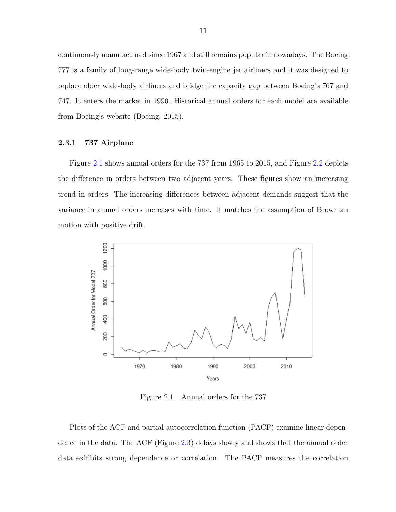<span id="page-19-0"></span>continuously manufactured since 1967 and still remains popular in nowadays. The Boeing 777 is a family of long-range wide-body twin-engine jet airliners and it was designed to replace older wide-body airliners and bridge the capacity gap between Boeing's 767 and 747. It enters the market in 1990. Historical annual orders for each model are available from Boeing's website (Boeing, 2015).

#### 2.3.1 737 Airplane

Figure 2.1 shows annual orders for the 737 from 1965 to 2015, and Figure [2.2](#page-20-0) depicts the difference in orders between two adjacent years. These figures show an increasing trend in orders. The increasing differences between adjacent demands suggest that the variance in annual orders increases with time. It matches the assumption of Brownian motion with positive drift.



Figure 2.1 Annual orders for the 737

Plots of the ACF and partial autocorrelation function (PACF) examine linear dependence in the data. The ACF (Figure [2.3\)](#page-20-0) delays slowly and shows that the annual order data exhibits strong dependence or correlation. The PACF measures the correlation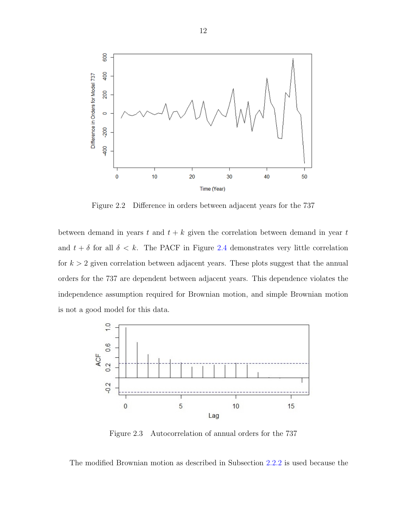<span id="page-20-0"></span>

Figure 2.2 Difference in orders between adjacent years for the 737

between demand in years  $t$  and  $t + k$  given the correlation between demand in year  $t$ and  $t + \delta$  for all  $\delta < k$ . The PACF in Figure [2.4](#page-21-0) demonstrates very little correlation for  $k > 2$  given correlation between adjacent years. These plots suggest that the annual orders for the 737 are dependent between adjacent years. This dependence violates the independence assumption required for Brownian motion, and simple Brownian motion is not a good model for this data.



Figure 2.3 Autocorrelation of annual orders for the 737

The modified Brownian motion as described in Subsection [2.2.2](#page-16-0) is used because the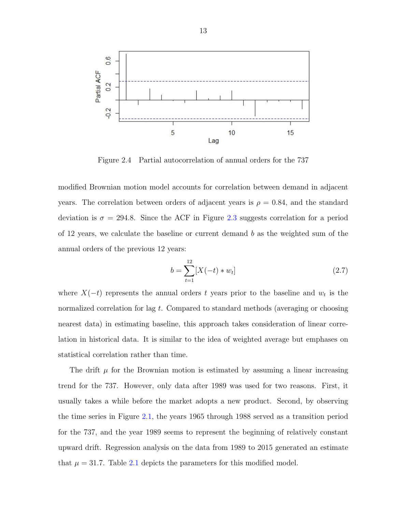<span id="page-21-0"></span>

Figure 2.4 Partial autocorrelation of annual orders for the 737

modified Brownian motion model accounts for correlation between demand in adjacent years. The correlation between orders of adjacent years is  $\rho = 0.84$ , and the standard deviation is  $\sigma = 294.8$ . Since the ACF in Figure [2.3](#page-20-0) suggests correlation for a period of 12 years, we calculate the baseline or current demand b as the weighted sum of the annual orders of the previous 12 years:

$$
b = \sum_{t=1}^{12} [X(-t) * w_t]
$$
 (2.7)

where  $X(-t)$  represents the annual orders t years prior to the baseline and  $w_t$  is the normalized correlation for lag t. Compared to standard methods (averaging or choosing nearest data) in estimating baseline, this approach takes consideration of linear correlation in historical data. It is similar to the idea of weighted average but emphases on statistical correlation rather than time.

The drift  $\mu$  for the Brownian motion is estimated by assuming a linear increasing trend for the 737. However, only data after 1989 was used for two reasons. First, it usually takes a while before the market adopts a new product. Second, by observing the time series in Figure [2.1,](#page-19-0) the years 1965 through 1988 served as a transition period for the 737, and the year 1989 seems to represent the beginning of relatively constant upward drift. Regression analysis on the data from 1989 to 2015 generated an estimate that  $\mu = 31.7$ . Table [2.1](#page-22-0) depicts the parameters for this modified model.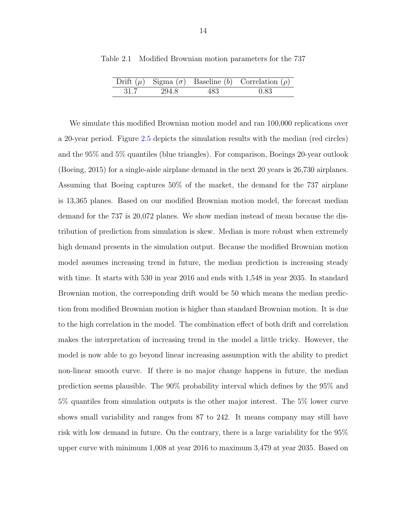|      |       |     | Drift $(\mu)$ Sigma $(\sigma)$ Baseline $(b)$ Correlation $(\rho)$ |
|------|-------|-----|--------------------------------------------------------------------|
| 31.7 | 294.8 | 483 | 0.83                                                               |

<span id="page-22-0"></span>Table 2.1 Modified Brownian motion parameters for the 737

We simulate this modified Brownian motion model and ran  $100,000$  replications over a 20-year period. Figure [2.5](#page-23-0) depicts the simulation results with the median (red circles) and the 95% and 5% quantiles (blue triangles). For comparison, Boeings 20-year outlook (Boeing, 2015) for a single-aisle airplane demand in the next 20 years is 26,730 airplanes. Assuming that Boeing captures 50% of the market, the demand for the 737 airplane is 13,365 planes. Based on our modified Brownian motion model, the forecast median demand for the 737 is 20,072 planes. We show median instead of mean because the distribution of prediction from simulation is skew. Median is more robust when extremely high demand presents in the simulation output. Because the modified Brownian motion model assumes increasing trend in future, the median prediction is increasing steady with time. It starts with 530 in year 2016 and ends with 1,548 in year 2035. In standard Brownian motion, the corresponding drift would be 50 which means the median prediction from modified Brownian motion is higher than standard Brownian motion. It is due to the high correlation in the model. The combination effect of both drift and correlation makes the interpretation of increasing trend in the model a little tricky. However, the model is now able to go beyond linear increasing assumption with the ability to predict non-linear smooth curve. If there is no major change happens in future, the median prediction seems plausible. The 90% probability interval which defines by the 95% and 5% quantiles from simulation outputs is the other major interest. The 5% lower curve shows small variability and ranges from 87 to 242. It means company may still have risk with low demand in future. On the contrary, there is a large variability for the 95% upper curve with minimum 1,008 at year 2016 to maximum 3,479 at year 2035. Based on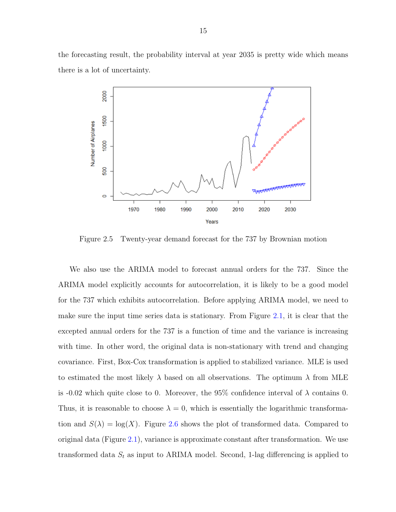<span id="page-23-0"></span>the forecasting result, the probability interval at year 2035 is pretty wide which means there is a lot of uncertainty.



Figure 2.5 Twenty-year demand forecast for the 737 by Brownian motion

We also use the ARIMA model to forecast annual orders for the 737. Since the ARIMA model explicitly accounts for autocorrelation, it is likely to be a good model for the 737 which exhibits autocorrelation. Before applying ARIMA model, we need to make sure the input time series data is stationary. From Figure [2.1,](#page-19-0) it is clear that the excepted annual orders for the 737 is a function of time and the variance is increasing with time. In other word, the original data is non-stationary with trend and changing covariance. First, Box-Cox transformation is applied to stabilized variance. MLE is used to estimated the most likely  $\lambda$  based on all observations. The optimum  $\lambda$  from MLE is -0.02 which quite close to 0. Moreover, the 95% confidence interval of  $\lambda$  contains 0. Thus, it is reasonable to choose  $\lambda = 0$ , which is essentially the logarithmic transformation and  $S(\lambda) = \log(X)$ . Figure [2.6](#page-24-0) shows the plot of transformed data. Compared to original data (Figure [2.1\)](#page-19-0), variance is approximate constant after transformation. We use transformed data  $S_t$  as input to ARIMA model. Second, 1-lag differencing is applied to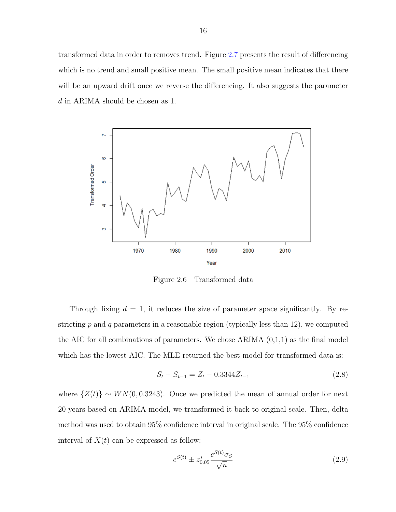<span id="page-24-0"></span>transformed data in order to removes trend. Figure [2.7](#page-25-0) presents the result of differencing which is no trend and small positive mean. The small positive mean indicates that there will be an upward drift once we reverse the differencing. It also suggests the parameter d in ARIMA should be chosen as 1.



Figure 2.6 Transformed data

Through fixing  $d = 1$ , it reduces the size of parameter space significantly. By restricting  $p$  and  $q$  parameters in a reasonable region (typically less than 12), we computed the AIC for all combinations of parameters. We chose  $ARIMA(0,1,1)$  as the final model which has the lowest AIC. The MLE returned the best model for transformed data is:

$$
S_t - S_{t-1} = Z_t - 0.3344Z_{t-1}
$$
\n
$$
(2.8)
$$

where  $\{Z(t)\}\sim WN(0,0.3243)$ . Once we predicted the mean of annual order for next 20 years based on ARIMA model, we transformed it back to original scale. Then, delta method was used to obtain 95% confidence interval in original scale. The 95% confidence interval of  $X(t)$  can be expressed as follow:

$$
e^{S(t)} \pm z_{0.05}^* \frac{e^{S(t)} \sigma_S}{\sqrt{n}} \tag{2.9}
$$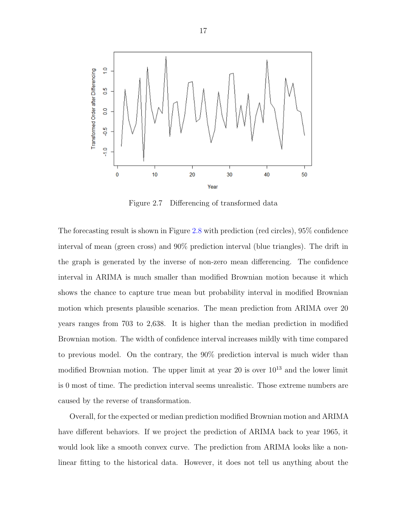<span id="page-25-0"></span>

Figure 2.7 Differencing of transformed data

The forecasting result is shown in Figure [2.8](#page-26-0) with prediction (red circles), 95% confidence interval of mean (green cross) and 90% prediction interval (blue triangles). The drift in the graph is generated by the inverse of non-zero mean differencing. The confidence interval in ARIMA is much smaller than modified Brownian motion because it which shows the chance to capture true mean but probability interval in modified Brownian motion which presents plausible scenarios. The mean prediction from ARIMA over 20 years ranges from 703 to 2,638. It is higher than the median prediction in modified Brownian motion. The width of confidence interval increases mildly with time compared to previous model. On the contrary, the 90% prediction interval is much wider than modified Brownian motion. The upper limit at year 20 is over  $10^{13}$  and the lower limit is 0 most of time. The prediction interval seems unrealistic. Those extreme numbers are caused by the reverse of transformation.

Overall, for the expected or median prediction modified Brownian motion and ARIMA have different behaviors. If we project the prediction of ARIMA back to year 1965, it would look like a smooth convex curve. The prediction from ARIMA looks like a nonlinear fitting to the historical data. However, it does not tell us anything about the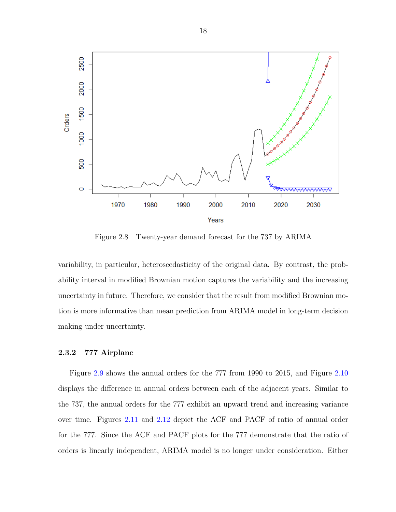<span id="page-26-0"></span>

Figure 2.8 Twenty-year demand forecast for the 737 by ARIMA

variability, in particular, heteroscedasticity of the original data. By contrast, the probability interval in modified Brownian motion captures the variability and the increasing uncertainty in future. Therefore, we consider that the result from modified Brownian motion is more informative than mean prediction from ARIMA model in long-term decision making under uncertainty.

#### 2.3.2 777 Airplane

Figure [2.9](#page-27-0) shows the annual orders for the 777 from 1990 to 2015, and Figure [2.10](#page-28-0) displays the difference in annual orders between each of the adjacent years. Similar to the 737, the annual orders for the 777 exhibit an upward trend and increasing variance over time. Figures [2.11](#page-28-0) and [2.12](#page-29-0) depict the ACF and PACF of ratio of annual order for the 777. Since the ACF and PACF plots for the 777 demonstrate that the ratio of orders is linearly independent, ARIMA model is no longer under consideration. Either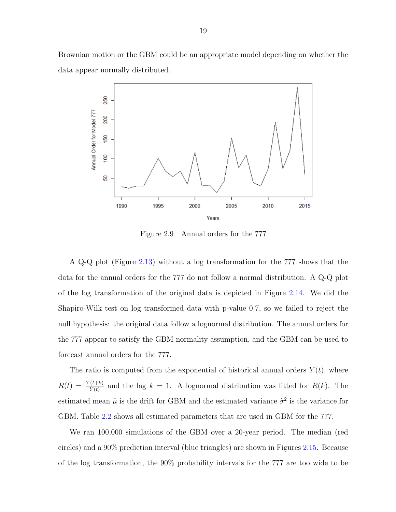<span id="page-27-0"></span>Brownian motion or the GBM could be an appropriate model depending on whether the data appear normally distributed.



Figure 2.9 Annual orders for the 777

A Q-Q plot (Figure [2.13\)](#page-30-0) without a log transformation for the 777 shows that the data for the annual orders for the 777 do not follow a normal distribution. A Q-Q plot of the log transformation of the original data is depicted in Figure [2.14.](#page-31-0) We did the Shapiro-Wilk test on log transformed data with p-value 0.7, so we failed to reject the null hypothesis: the original data follow a lognormal distribution. The annual orders for the 777 appear to satisfy the GBM normality assumption, and the GBM can be used to forecast annual orders for the 777.

The ratio is computed from the exponential of historical annual orders  $Y(t)$ , where  $R(t) = \frac{Y(t+k)}{Y(t)}$  and the lag  $k = 1$ . A lognormal distribution was fitted for  $R(k)$ . The estimated mean  $\hat{\mu}$  is the drift for GBM and the estimated variance  $\hat{\sigma}^2$  is the variance for GBM. Table [2.2](#page-29-0) shows all estimated parameters that are used in GBM for the 777.

We ran 100,000 simulations of the GBM over a 20-year period. The median (red circles) and a 90% prediction interval (blue triangles) are shown in Figures [2.15.](#page-32-0) Because of the log transformation, the 90% probability intervals for the 777 are too wide to be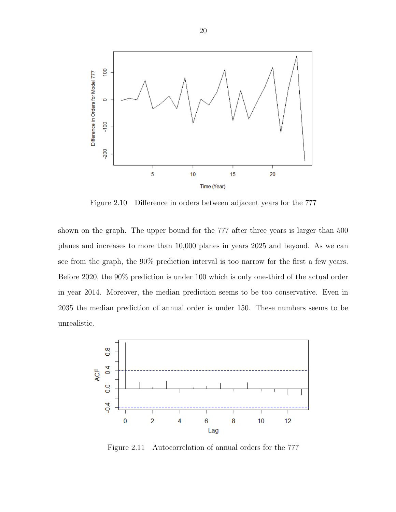<span id="page-28-0"></span>

Figure 2.10 Difference in orders between adjacent years for the 777

shown on the graph. The upper bound for the 777 after three years is larger than 500 planes and increases to more than 10,000 planes in years 2025 and beyond. As we can see from the graph, the 90% prediction interval is too narrow for the first a few years. Before 2020, the 90% prediction is under 100 which is only one-third of the actual order in year 2014. Moreover, the median prediction seems to be too conservative. Even in 2035 the median prediction of annual order is under 150. These numbers seems to be unrealistic.



Figure 2.11 Autocorrelation of annual orders for the 777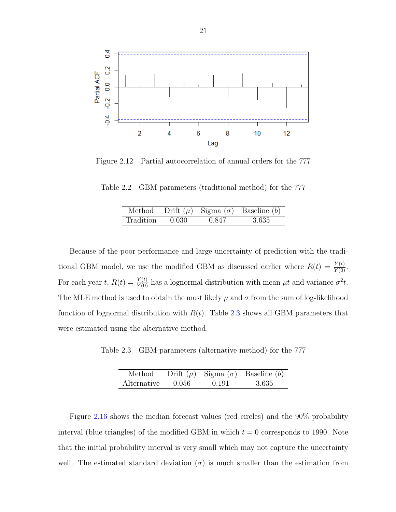<span id="page-29-0"></span>

Figure 2.12 Partial autocorrelation of annual orders for the 777

Table 2.2 GBM parameters (traditional method) for the 777

| Method    |       |       | Drift $(\mu)$ Sigma $(\sigma)$ Baseline $(b)$ |
|-----------|-------|-------|-----------------------------------------------|
| Tradition | 0.030 | 0.847 | -3.635                                        |

Because of the poor performance and large uncertainty of prediction with the traditional GBM model, we use the modified GBM as discussed earlier where  $R(t) = \frac{Y(t)}{Y(0)}$ . For each year t,  $R(t) = \frac{Y(t)}{Y(0)}$  has a lognormal distribution with mean  $\mu t$  and variance  $\sigma^2 t$ . The MLE method is used to obtain the most likely  $\mu$  and  $\sigma$  from the sum of log-likelihood function of lognormal distribution with  $R(t)$ . Table 2.3 shows all GBM parameters that were estimated using the alternative method.

Table 2.3 GBM parameters (alternative method) for the 777

| Method      |       |       | Drift $(\mu)$ Sigma $(\sigma)$ Baseline $(b)$ |
|-------------|-------|-------|-----------------------------------------------|
| Alternative | 0 056 | 0.191 | -3-635-                                       |

Figure [2.16](#page-33-0) shows the median forecast values (red circles) and the 90% probability interval (blue triangles) of the modified GBM in which  $t = 0$  corresponds to 1990. Note that the initial probability interval is very small which may not capture the uncertainty well. The estimated standard deviation ( $\sigma$ ) is much smaller than the estimation from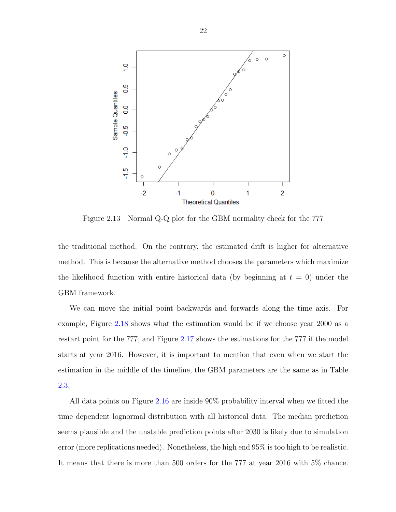<span id="page-30-0"></span>

Figure 2.13 Normal Q-Q plot for the GBM normality check for the 777

the traditional method. On the contrary, the estimated drift is higher for alternative method. This is because the alternative method chooses the parameters which maximize the likelihood function with entire historical data (by beginning at  $t = 0$ ) under the GBM framework.

We can move the initial point backwards and forwards along the time axis. For example, Figure [2.18](#page-35-0) shows what the estimation would be if we choose year 2000 as a restart point for the 777, and Figure [2.17](#page-34-0) shows the estimations for the 777 if the model starts at year 2016. However, it is important to mention that even when we start the estimation in the middle of the timeline, the GBM parameters are the same as in Table [2.3.](#page-29-0)

All data points on Figure [2.16](#page-33-0) are inside 90% probability interval when we fitted the time dependent lognormal distribution with all historical data. The median prediction seems plausible and the unstable prediction points after 2030 is likely due to simulation error (more replications needed). Nonetheless, the high end 95% is too high to be realistic. It means that there is more than 500 orders for the 777 at year 2016 with 5% chance.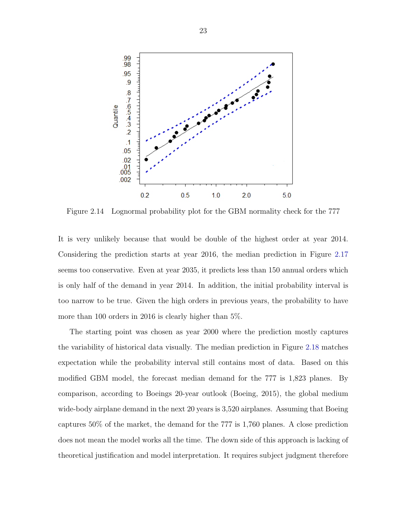<span id="page-31-0"></span>

Figure 2.14 Lognormal probability plot for the GBM normality check for the 777

It is very unlikely because that would be double of the highest order at year 2014. Considering the prediction starts at year 2016, the median prediction in Figure [2.17](#page-34-0) seems too conservative. Even at year 2035, it predicts less than 150 annual orders which is only half of the demand in year 2014. In addition, the initial probability interval is too narrow to be true. Given the high orders in previous years, the probability to have more than 100 orders in 2016 is clearly higher than 5%.

The starting point was chosen as year 2000 where the prediction mostly captures the variability of historical data visually. The median prediction in Figure [2.18](#page-35-0) matches expectation while the probability interval still contains most of data. Based on this modified GBM model, the forecast median demand for the 777 is 1,823 planes. By comparison, according to Boeings 20-year outlook (Boeing, 2015), the global medium wide-body airplane demand in the next 20 years is 3,520 airplanes. Assuming that Boeing captures 50% of the market, the demand for the 777 is 1,760 planes. A close prediction does not mean the model works all the time. The down side of this approach is lacking of theoretical justification and model interpretation. It requires subject judgment therefore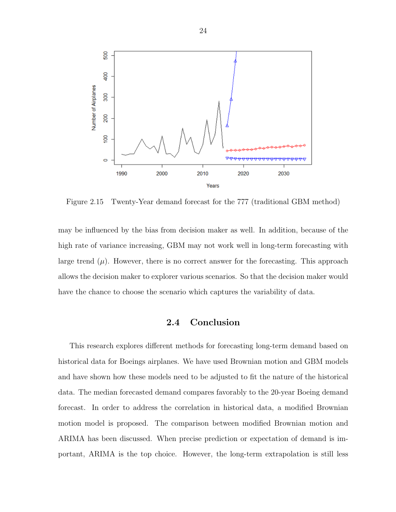<span id="page-32-0"></span>

Figure 2.15 Twenty-Year demand forecast for the 777 (traditional GBM method)

may be influenced by the bias from decision maker as well. In addition, because of the high rate of variance increasing, GBM may not work well in long-term forecasting with large trend  $(\mu)$ . However, there is no correct answer for the forecasting. This approach allows the decision maker to explorer various scenarios. So that the decision maker would have the chance to choose the scenario which captures the variability of data.

### 2.4 Conclusion

This research explores different methods for forecasting long-term demand based on historical data for Boeings airplanes. We have used Brownian motion and GBM models and have shown how these models need to be adjusted to fit the nature of the historical data. The median forecasted demand compares favorably to the 20-year Boeing demand forecast. In order to address the correlation in historical data, a modified Brownian motion model is proposed. The comparison between modified Brownian motion and ARIMA has been discussed. When precise prediction or expectation of demand is important, ARIMA is the top choice. However, the long-term extrapolation is still less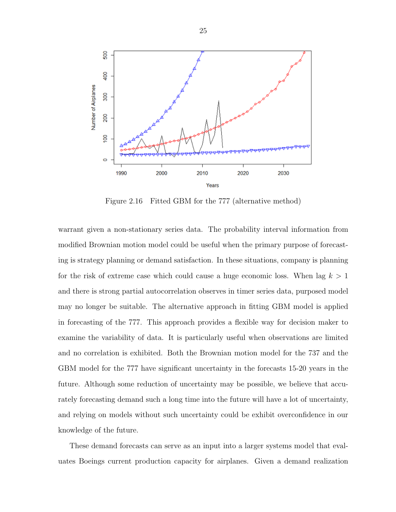<span id="page-33-0"></span>

Figure 2.16 Fitted GBM for the 777 (alternative method)

warrant given a non-stationary series data. The probability interval information from modified Brownian motion model could be useful when the primary purpose of forecasting is strategy planning or demand satisfaction. In these situations, company is planning for the risk of extreme case which could cause a huge economic loss. When lag  $k > 1$ and there is strong partial autocorrelation observes in timer series data, purposed model may no longer be suitable. The alternative approach in fitting GBM model is applied in forecasting of the 777. This approach provides a flexible way for decision maker to examine the variability of data. It is particularly useful when observations are limited and no correlation is exhibited. Both the Brownian motion model for the 737 and the GBM model for the 777 have significant uncertainty in the forecasts 15-20 years in the future. Although some reduction of uncertainty may be possible, we believe that accurately forecasting demand such a long time into the future will have a lot of uncertainty, and relying on models without such uncertainty could be exhibit overconfidence in our knowledge of the future.

These demand forecasts can serve as an input into a larger systems model that evaluates Boeings current production capacity for airplanes. Given a demand realization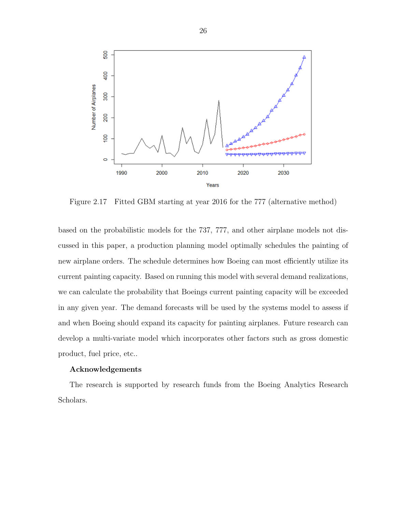<span id="page-34-0"></span>

Figure 2.17 Fitted GBM starting at year 2016 for the 777 (alternative method)

based on the probabilistic models for the 737, 777, and other airplane models not discussed in this paper, a production planning model optimally schedules the painting of new airplane orders. The schedule determines how Boeing can most efficiently utilize its current painting capacity. Based on running this model with several demand realizations, we can calculate the probability that Boeings current painting capacity will be exceeded in any given year. The demand forecasts will be used by the systems model to assess if and when Boeing should expand its capacity for painting airplanes. Future research can develop a multi-variate model which incorporates other factors such as gross domestic product, fuel price, etc..

#### Acknowledgements

The research is supported by research funds from the Boeing Analytics Research Scholars.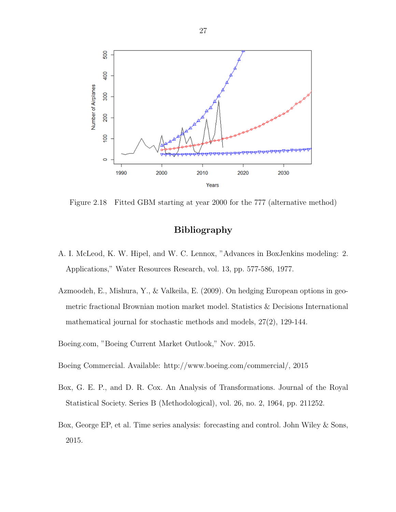<span id="page-35-0"></span>

Figure 2.18 Fitted GBM starting at year 2000 for the 777 (alternative method)

### Bibliography

- A. I. McLeod, K. W. Hipel, and W. C. Lennox, "Advances in BoxJenkins modeling: 2. Applications," Water Resources Research, vol. 13, pp. 577-586, 1977.
- Azmoodeh, E., Mishura, Y., & Valkeila, E. (2009). On hedging European options in geometric fractional Brownian motion market model. Statistics & Decisions International mathematical journal for stochastic methods and models, 27(2), 129-144.
- Boeing.com, "Boeing Current Market Outlook," Nov. 2015.
- Boeing Commercial. Available: http://www.boeing.com/commercial/, 2015
- Box, G. E. P., and D. R. Cox. An Analysis of Transformations. Journal of the Royal Statistical Society. Series B (Methodological), vol. 26, no. 2, 1964, pp. 211252.
- Box, George EP, et al. Time series analysis: forecasting and control. John Wiley & Sons, 2015.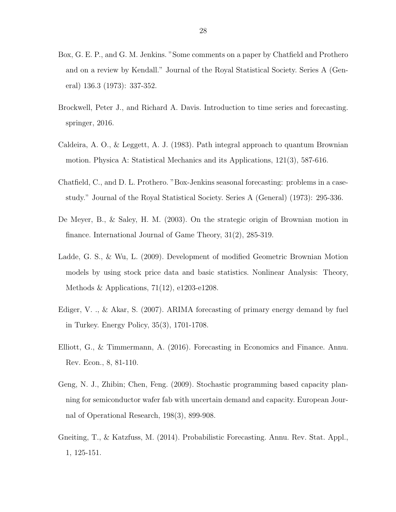- Box, G. E. P., and G. M. Jenkins. "Some comments on a paper by Chatfield and Prothero and on a review by Kendall." Journal of the Royal Statistical Society. Series A (General) 136.3 (1973): 337-352.
- Brockwell, Peter J., and Richard A. Davis. Introduction to time series and forecasting. springer, 2016.
- Caldeira, A. O., & Leggett, A. J. (1983). Path integral approach to quantum Brownian motion. Physica A: Statistical Mechanics and its Applications, 121(3), 587-616.
- Chatfield, C., and D. L. Prothero. "Box-Jenkins seasonal forecasting: problems in a casestudy." Journal of the Royal Statistical Society. Series A (General) (1973): 295-336.
- De Meyer, B., & Saley, H. M. (2003). On the strategic origin of Brownian motion in finance. International Journal of Game Theory, 31(2), 285-319.
- Ladde, G. S., & Wu, L. (2009). Development of modified Geometric Brownian Motion models by using stock price data and basic statistics. Nonlinear Analysis: Theory, Methods & Applications, 71(12), e1203-e1208.
- Ediger, V. ., & Akar, S. (2007). ARIMA forecasting of primary energy demand by fuel in Turkey. Energy Policy, 35(3), 1701-1708.
- Elliott, G., & Timmermann, A. (2016). Forecasting in Economics and Finance. Annu. Rev. Econ., 8, 81-110.
- Geng, N. J., Zhibin; Chen, Feng. (2009). Stochastic programming based capacity planning for semiconductor wafer fab with uncertain demand and capacity. European Journal of Operational Research, 198(3), 899-908.
- Gneiting, T., & Katzfuss, M. (2014). Probabilistic Forecasting. Annu. Rev. Stat. Appl., 1, 125-151.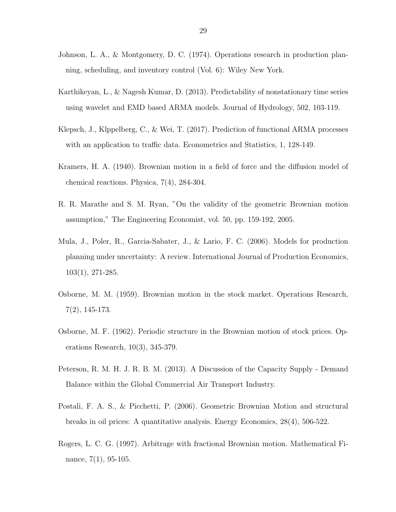- Johnson, L. A., & Montgomery, D. C. (1974). Operations research in production planning, scheduling, and inventory control (Vol. 6): Wiley New York.
- Karthikeyan, L., & Nagesh Kumar, D. (2013). Predictability of nonstationary time series using wavelet and EMD based ARMA models. Journal of Hydrology, 502, 103-119.
- Klepsch, J., Klppelberg, C., & Wei, T. (2017). Prediction of functional ARMA processes with an application to traffic data. Econometrics and Statistics, 1, 128-149.
- Kramers, H. A. (1940). Brownian motion in a field of force and the diffusion model of chemical reactions. Physica, 7(4), 284-304.
- R. R. Marathe and S. M. Ryan, "On the validity of the geometric Brownian motion assumption," The Engineering Economist, vol. 50, pp. 159-192, 2005.
- Mula, J., Poler, R., Garcia-Sabater, J., & Lario, F. C. (2006). Models for production planning under uncertainty: A review. International Journal of Production Economics, 103(1), 271-285.
- Osborne, M. M. (1959). Brownian motion in the stock market. Operations Research, 7(2), 145-173.
- Osborne, M. F. (1962). Periodic structure in the Brownian motion of stock prices. Operations Research, 10(3), 345-379.
- Peterson, R. M. H. J. R. B. M. (2013). A Discussion of the Capacity Supply Demand Balance within the Global Commercial Air Transport Industry.
- Postali, F. A. S., & Picchetti, P. (2006). Geometric Brownian Motion and structural breaks in oil prices: A quantitative analysis. Energy Economics, 28(4), 506-522.
- Rogers, L. C. G. (1997). Arbitrage with fractional Brownian motion. Mathematical Finance, 7(1), 95-105.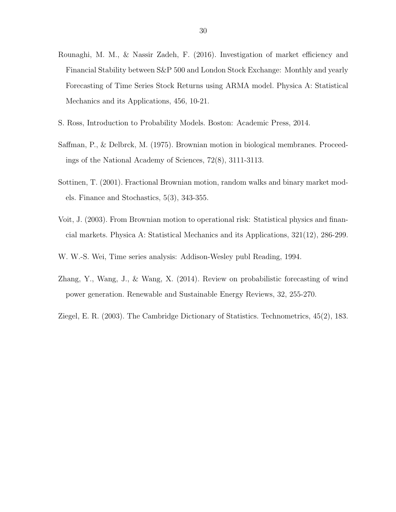- Rounaghi, M. M., & Nassir Zadeh, F. (2016). Investigation of market efficiency and Financial Stability between S&P 500 and London Stock Exchange: Monthly and yearly Forecasting of Time Series Stock Returns using ARMA model. Physica A: Statistical Mechanics and its Applications, 456, 10-21.
- S. Ross, Introduction to Probability Models. Boston: Academic Press, 2014.
- Saffman, P., & Delbrck, M. (1975). Brownian motion in biological membranes. Proceedings of the National Academy of Sciences, 72(8), 3111-3113.
- Sottinen, T. (2001). Fractional Brownian motion, random walks and binary market models. Finance and Stochastics, 5(3), 343-355.
- Voit, J. (2003). From Brownian motion to operational risk: Statistical physics and financial markets. Physica A: Statistical Mechanics and its Applications, 321(12), 286-299.
- W. W.-S. Wei, Time series analysis: Addison-Wesley publ Reading, 1994.
- Zhang, Y., Wang, J., & Wang, X. (2014). Review on probabilistic forecasting of wind power generation. Renewable and Sustainable Energy Reviews, 32, 255-270.
- Ziegel, E. R. (2003). The Cambridge Dictionary of Statistics. Technometrics, 45(2), 183.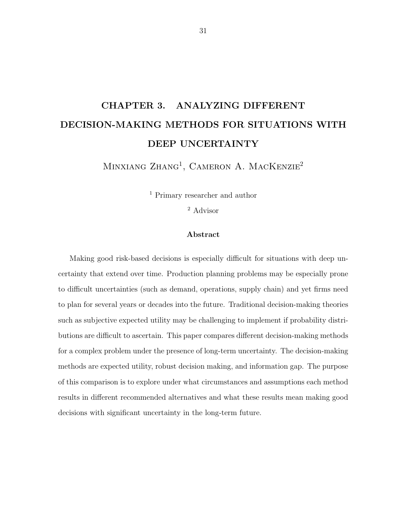# CHAPTER 3. ANALYZING DIFFERENT DECISION-MAKING METHODS FOR SITUATIONS WITH DEEP UNCERTAINTY

MINXIANG ZHANG<sup>1</sup>, CAMERON A. MACKENZIE<sup>2</sup>

<sup>1</sup> Primary researcher and author

<sup>2</sup> Advisor

### Abstract

Making good risk-based decisions is especially difficult for situations with deep uncertainty that extend over time. Production planning problems may be especially prone to difficult uncertainties (such as demand, operations, supply chain) and yet firms need to plan for several years or decades into the future. Traditional decision-making theories such as subjective expected utility may be challenging to implement if probability distributions are difficult to ascertain. This paper compares different decision-making methods for a complex problem under the presence of long-term uncertainty. The decision-making methods are expected utility, robust decision making, and information gap. The purpose of this comparison is to explore under what circumstances and assumptions each method results in different recommended alternatives and what these results mean making good decisions with significant uncertainty in the long-term future.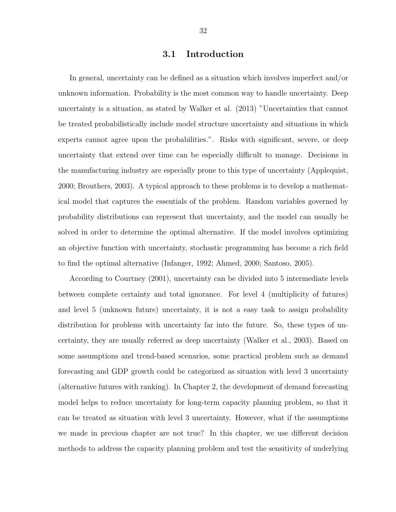## 3.1 Introduction

In general, uncertainty can be defined as a situation which involves imperfect and/or unknown information. Probability is the most common way to handle uncertainty. Deep uncertainty is a situation, as stated by Walker et al. (2013) "Uncertainties that cannot be treated probabilistically include model structure uncertainty and situations in which experts cannot agree upon the probabilities.". Risks with significant, severe, or deep uncertainty that extend over time can be especially difficult to manage. Decisions in the manufacturing industry are especially prone to this type of uncertainty (Applequist, 2000; Brouthers, 2003). A typical approach to these problems is to develop a mathematical model that captures the essentials of the problem. Random variables governed by probability distributions can represent that uncertainty, and the model can usually be solved in order to determine the optimal alternative. If the model involves optimizing an objective function with uncertainty, stochastic programming has become a rich field to find the optimal alternative (Infanger, 1992; Ahmed, 2000; Santoso, 2005).

According to Courtney (2001), uncertainty can be divided into 5 intermediate levels between complete certainty and total ignorance. For level 4 (multiplicity of futures) and level 5 (unknown future) uncertainty, it is not a easy task to assign probability distribution for problems with uncertainty far into the future. So, these types of uncertainty, they are usually referred as deep uncertainty (Walker et al., 2003). Based on some assumptions and trend-based scenarios, some practical problem such as demand forecasting and GDP growth could be categorized as situation with level 3 uncertainty (alternative futures with ranking). In Chapter 2, the development of demand forecasting model helps to reduce uncertainty for long-term capacity planning problem, so that it can be treated as situation with level 3 uncertainty. However, what if the assumptions we made in previous chapter are not true? In this chapter, we use different decision methods to address the capacity planning problem and test the sensitivity of underlying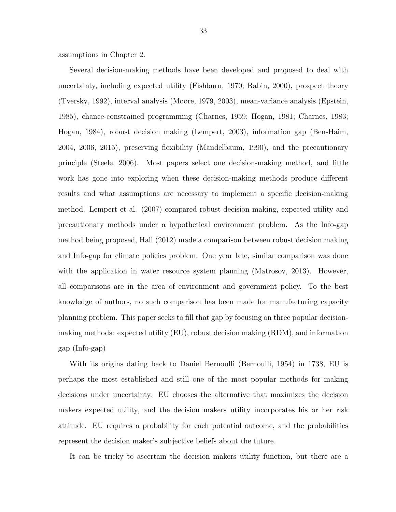assumptions in Chapter 2.

Several decision-making methods have been developed and proposed to deal with uncertainty, including expected utility (Fishburn, 1970; Rabin, 2000), prospect theory (Tversky, 1992), interval analysis (Moore, 1979, 2003), mean-variance analysis (Epstein, 1985), chance-constrained programming (Charnes, 1959; Hogan, 1981; Charnes, 1983; Hogan, 1984), robust decision making (Lempert, 2003), information gap (Ben-Haim, 2004, 2006, 2015), preserving flexibility (Mandelbaum, 1990), and the precautionary principle (Steele, 2006). Most papers select one decision-making method, and little work has gone into exploring when these decision-making methods produce different results and what assumptions are necessary to implement a specific decision-making method. Lempert et al. (2007) compared robust decision making, expected utility and precautionary methods under a hypothetical environment problem. As the Info-gap method being proposed, Hall (2012) made a comparison between robust decision making and Info-gap for climate policies problem. One year late, similar comparison was done with the application in water resource system planning (Matrosov, 2013). However, all comparisons are in the area of environment and government policy. To the best knowledge of authors, no such comparison has been made for manufacturing capacity planning problem. This paper seeks to fill that gap by focusing on three popular decisionmaking methods: expected utility (EU), robust decision making (RDM), and information gap (Info-gap)

With its origins dating back to Daniel Bernoulli (Bernoulli, 1954) in 1738, EU is perhaps the most established and still one of the most popular methods for making decisions under uncertainty. EU chooses the alternative that maximizes the decision makers expected utility, and the decision makers utility incorporates his or her risk attitude. EU requires a probability for each potential outcome, and the probabilities represent the decision maker's subjective beliefs about the future.

It can be tricky to ascertain the decision makers utility function, but there are a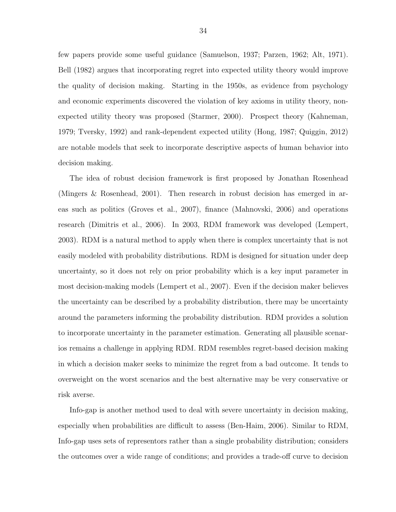few papers provide some useful guidance (Samuelson, 1937; Parzen, 1962; Alt, 1971). Bell (1982) argues that incorporating regret into expected utility theory would improve the quality of decision making. Starting in the 1950s, as evidence from psychology and economic experiments discovered the violation of key axioms in utility theory, nonexpected utility theory was proposed (Starmer, 2000). Prospect theory (Kahneman, 1979; Tversky, 1992) and rank-dependent expected utility (Hong, 1987; Quiggin, 2012) are notable models that seek to incorporate descriptive aspects of human behavior into decision making.

The idea of robust decision framework is first proposed by Jonathan Rosenhead (Mingers & Rosenhead, 2001). Then research in robust decision has emerged in areas such as politics (Groves et al., 2007), finance (Mahnovski, 2006) and operations research (Dimitris et al., 2006). In 2003, RDM framework was developed (Lempert, 2003). RDM is a natural method to apply when there is complex uncertainty that is not easily modeled with probability distributions. RDM is designed for situation under deep uncertainty, so it does not rely on prior probability which is a key input parameter in most decision-making models (Lempert et al., 2007). Even if the decision maker believes the uncertainty can be described by a probability distribution, there may be uncertainty around the parameters informing the probability distribution. RDM provides a solution to incorporate uncertainty in the parameter estimation. Generating all plausible scenarios remains a challenge in applying RDM. RDM resembles regret-based decision making in which a decision maker seeks to minimize the regret from a bad outcome. It tends to overweight on the worst scenarios and the best alternative may be very conservative or risk averse.

Info-gap is another method used to deal with severe uncertainty in decision making, especially when probabilities are difficult to assess (Ben-Haim, 2006). Similar to RDM, Info-gap uses sets of representors rather than a single probability distribution; considers the outcomes over a wide range of conditions; and provides a trade-off curve to decision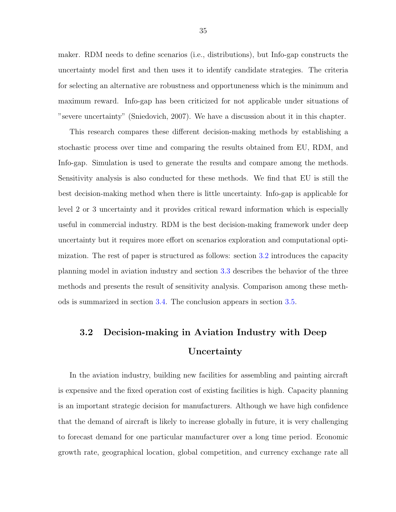maker. RDM needs to define scenarios (i.e., distributions), but Info-gap constructs the uncertainty model first and then uses it to identify candidate strategies. The criteria for selecting an alternative are robustness and opportuneness which is the minimum and maximum reward. Info-gap has been criticized for not applicable under situations of "severe uncertainty" (Sniedovich, 2007). We have a discussion about it in this chapter.

This research compares these different decision-making methods by establishing a stochastic process over time and comparing the results obtained from EU, RDM, and Info-gap. Simulation is used to generate the results and compare among the methods. Sensitivity analysis is also conducted for these methods. We find that EU is still the best decision-making method when there is little uncertainty. Info-gap is applicable for level 2 or 3 uncertainty and it provides critical reward information which is especially useful in commercial industry. RDM is the best decision-making framework under deep uncertainty but it requires more effort on scenarios exploration and computational optimization. The rest of paper is structured as follows: section 3.2 introduces the capacity planning model in aviation industry and section [3.3](#page-51-0) describes the behavior of the three methods and presents the result of sensitivity analysis. Comparison among these methods is summarized in section [3.4.](#page-61-0) The conclusion appears in section [3.5.](#page-64-0)

## 3.2 Decision-making in Aviation Industry with Deep Uncertainty

In the aviation industry, building new facilities for assembling and painting aircraft is expensive and the fixed operation cost of existing facilities is high. Capacity planning is an important strategic decision for manufacturers. Although we have high confidence that the demand of aircraft is likely to increase globally in future, it is very challenging to forecast demand for one particular manufacturer over a long time period. Economic growth rate, geographical location, global competition, and currency exchange rate all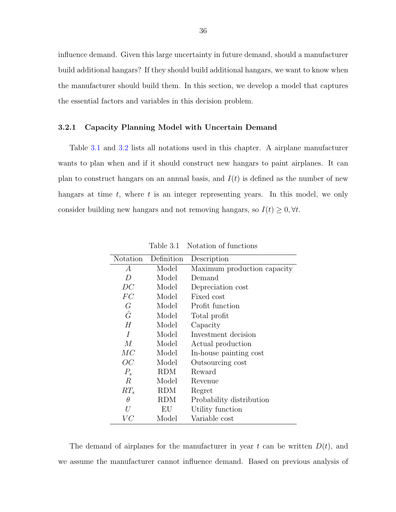influence demand. Given this large uncertainty in future demand, should a manufacturer build additional hangars? If they should build additional hangars, we want to know when the manufacturer should build them. In this section, we develop a model that captures the essential factors and variables in this decision problem.

#### 3.2.1 Capacity Planning Model with Uncertain Demand

Table 3.1 and [3.2](#page-45-0) lists all notations used in this chapter. A airplane manufacturer wants to plan when and if it should construct new hangars to paint airplanes. It can plan to construct hangars on an annual basis, and  $I(t)$  is defined as the number of new hangars at time  $t$ , where  $t$  is an integer representing years. In this model, we only consider building new hangars and not removing hangars, so  $I(t) \geq 0, \forall t$ .

| Notation         | Definition | Description                 |
|------------------|------------|-----------------------------|
| A                | Model      | Maximum production capacity |
| D                | Model      | Demand                      |
| DC               | Model      | Depreciation cost           |
| FC               | Model      | Fixed cost                  |
| G                | Model      | Profit function             |
| $\tilde{G}$      | Model      | Total profit                |
| H                | Model      | Capacity                    |
| I                | Model      | Investment decision         |
| M                | Model      | Actual production           |
| MC               | Model      | In-house painting cost      |
| OC               | Model      | Outsourcing cost            |
| $P_{s}$          | <b>RDM</b> | Reward                      |
| $\boldsymbol{R}$ | Model      | Revenue                     |
| $RT_s$           | RDM        | Regret                      |
| θ                | RDM        | Probability distribution    |
| U                | ΕU         | Utility function            |
| VC               | Model      | Variable cost               |

Table 3.1 Notation of functions

The demand of airplanes for the manufacturer in year t can be written  $D(t)$ , and we assume the manufacturer cannot influence demand. Based on previous analysis of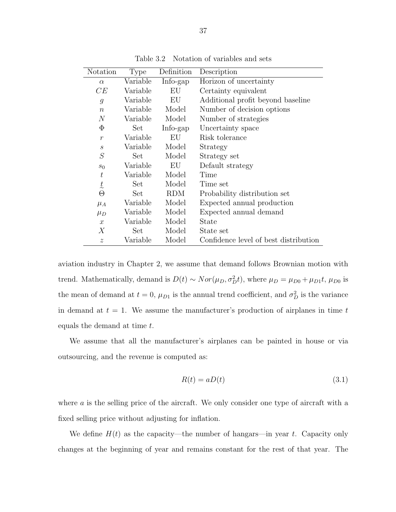<span id="page-45-0"></span>

| Notation                     | Type     | Definition | Description                           |
|------------------------------|----------|------------|---------------------------------------|
| $\alpha$                     | Variable | Info-gap   | Horizon of uncertainty                |
| CE                           | Variable | EU         | Certainty equivalent                  |
| $\mathfrak{g}$               | Variable | EU         | Additional profit beyond baseline     |
| $\boldsymbol{n}$             | Variable | Model      | Number of decision options            |
| $\,N$                        | Variable | Model      | Number of strategies                  |
| $\Phi$                       | Set      | Info-gap   | Uncertainty space                     |
| $\mathcal{r}$                | Variable | EU         | Risk tolerance                        |
| $\mathcal{S}_{0}$            | Variable | Model      | Strategy                              |
| $\mathcal{S}% _{CS}^{ab}(A)$ | Set      | Model      | Strategy set                          |
| $s_0$                        | Variable | EU         | Default strategy                      |
| $\boldsymbol{t}$             | Variable | Model      | Time                                  |
| $\frac{t}{\sqrt{2}}$         | Set      | Model      | Time set                              |
| $\Theta$                     | Set      | <b>RDM</b> | Probability distribution set          |
| $\mu_A$                      | Variable | Model      | Expected annual production            |
| $\mu_D$                      | Variable | Model      | Expected annual demand                |
| $\mathcal{X}$                | Variable | Model      | State                                 |
| Х                            | Set      | Model      | State set                             |
| $\widetilde{\mathcal{Z}}$    | Variable | Model      | Confidence level of best distribution |

Table 3.2 Notation of variables and sets

aviation industry in Chapter 2, we assume that demand follows Brownian motion with trend. Mathematically, demand is  $D(t) \sim Nor(\mu_D, \sigma_D^2 t)$ , where  $\mu_D = \mu_{D0} + \mu_{D1}t$ ,  $\mu_{D0}$  is the mean of demand at  $t = 0$ ,  $\mu_{D1}$  is the annual trend coefficient, and  $\sigma_D^2$  is the variance in demand at  $t = 1$ . We assume the manufacturer's production of airplanes in time t equals the demand at time t.

We assume that all the manufacturer's airplanes can be painted in house or via outsourcing, and the revenue is computed as:

$$
R(t) = aD(t) \tag{3.1}
$$

where  $\alpha$  is the selling price of the aircraft. We only consider one type of aircraft with a fixed selling price without adjusting for inflation.

We define  $H(t)$  as the capacity—the number of hangars—in year t. Capacity only changes at the beginning of year and remains constant for the rest of that year. The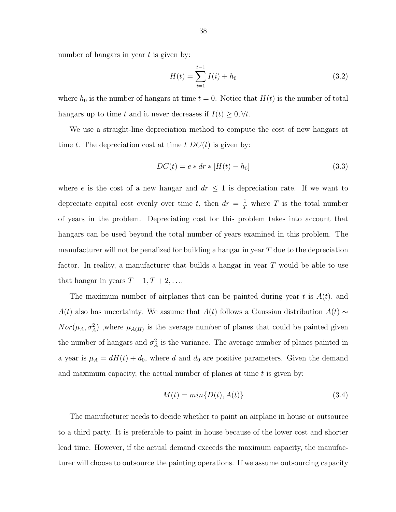number of hangars in year  $t$  is given by:

$$
H(t) = \sum_{i=1}^{t-1} I(i) + h_0
$$
\n(3.2)

where  $h_0$  is the number of hangars at time  $t = 0$ . Notice that  $H(t)$  is the number of total hangars up to time t and it never decreases if  $I(t) \geq 0, \forall t$ .

We use a straight-line depreciation method to compute the cost of new hangars at time t. The depreciation cost at time t  $DC(t)$  is given by:

$$
DC(t) = e * dr * [H(t) - h_0]
$$
\n(3.3)

where e is the cost of a new hangar and  $dr \leq 1$  is depreciation rate. If we want to depreciate capital cost evenly over time t, then  $dr = \frac{1}{T}$  where T is the total number of years in the problem. Depreciating cost for this problem takes into account that hangars can be used beyond the total number of years examined in this problem. The manufacturer will not be penalized for building a hangar in year  $T$  due to the depreciation factor. In reality, a manufacturer that builds a hangar in year T would be able to use that hangar in years  $T + 1, T + 2, \ldots$ 

The maximum number of airplanes that can be painted during year t is  $A(t)$ , and  $A(t)$  also has uncertainty. We assume that  $A(t)$  follows a Gaussian distribution  $A(t) \sim$  $Nor(\mu_A, \sigma_A^2)$ , where  $\mu_{A(H)}$  is the average number of planes that could be painted given the number of hangars and  $\sigma_A^2$  is the variance. The average number of planes painted in a year is  $\mu_A = dH(t) + d_0$ , where d and  $d_0$  are positive parameters. Given the demand and maximum capacity, the actual number of planes at time  $t$  is given by:

$$
M(t) = min\{D(t), A(t)\}\tag{3.4}
$$

The manufacturer needs to decide whether to paint an airplane in house or outsource to a third party. It is preferable to paint in house because of the lower cost and shorter lead time. However, if the actual demand exceeds the maximum capacity, the manufacturer will choose to outsource the painting operations. If we assume outsourcing capacity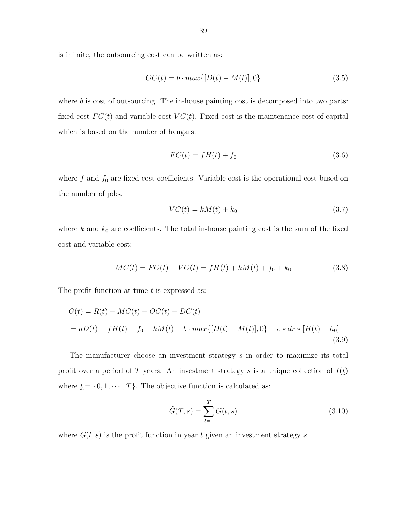is infinite, the outsourcing cost can be written as:

$$
OC(t) = b \cdot max\{[D(t) - M(t)], 0\}
$$
\n(3.5)

where  $b$  is cost of outsourcing. The in-house painting cost is decomposed into two parts: fixed cost  $FC(t)$  and variable cost  $VC(t)$ . Fixed cost is the maintenance cost of capital which is based on the number of hangars:

$$
FC(t) = fH(t) + f_0 \tag{3.6}
$$

where  $f$  and  $f_0$  are fixed-cost coefficients. Variable cost is the operational cost based on the number of jobs.

$$
VC(t) = kM(t) + k_0 \tag{3.7}
$$

where k and  $k_0$  are coefficients. The total in-house painting cost is the sum of the fixed cost and variable cost:

$$
MC(t) = FC(t) + VC(t) = fH(t) + kM(t) + f_0 + k_0
$$
\n(3.8)

The profit function at time  $t$  is expressed as:

$$
G(t) = R(t) - MC(t) - OC(t) - DC(t)
$$
  
=  $aD(t) - fH(t) - f_0 - kM(t) - b \cdot max\{[D(t) - M(t)], 0\} - e * dr * [H(t) - h_0]$   
(3.9)

The manufacturer choose an investment strategy s in order to maximize its total profit over a period of T years. An investment strategy s is a unique collection of  $I(t)$ where  $\underline{t} = \{0, 1, \cdots, T\}$ . The objective function is calculated as:

$$
\tilde{G}(T,s) = \sum_{t=1}^{T} G(t,s)
$$
\n(3.10)

where  $G(t, s)$  is the profit function in year t given an investment strategy s.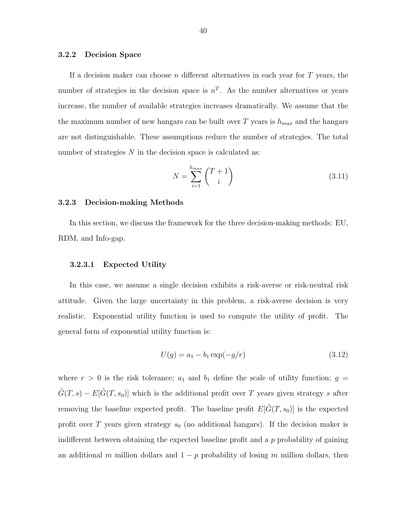#### <span id="page-48-0"></span>3.2.2 Decision Space

If a decision maker can choose n different alternatives in each year for  $T$  years, the number of strategies in the decision space is  $n<sup>T</sup>$ . As the number alternatives or years increase, the number of available strategies increases dramatically. We assume that the the maximum number of new hangars can be built over T years is  $h_{max}$  and the hangars are not distinguishable. These assumptions reduce the number of strategies. The total number of strategies  $N$  in the decision space is calculated as:

$$
N = \sum_{i=1}^{h_{max}} \binom{T+1}{i} \tag{3.11}
$$

#### 3.2.3 Decision-making Methods

In this section, we discuss the framework for the three decision-making methods: EU, RDM, and Info-gap.

#### 3.2.3.1 Expected Utility

In this case, we assume a single decision exhibits a risk-averse or risk-neutral risk attitude. Given the large uncertainty in this problem, a risk-averse decision is very realistic. Exponential utility function is used to compute the utility of profit. The general form of exponential utility function is:

$$
U(g) = a_1 - b_1 \exp(-g/r)
$$
\n(3.12)

where  $r > 0$  is the risk tolerance;  $a_1$  and  $b_1$  define the scale of utility function;  $g =$  $\tilde{G}(T, s) - E[\tilde{G}(T, s_0)]$  which is the additional profit over T years given strategy s after removing the baseline expected profit. The baseline profit  $E[\tilde{G}(T, s_0)]$  is the expected profit over T years given strategy  $s_0$  (no additional hangars). If the decision maker is indifferent between obtaining the expected baseline profit and a  $p$  probability of gaining an additional m million dollars and  $1 - p$  probability of losing m million dollars, then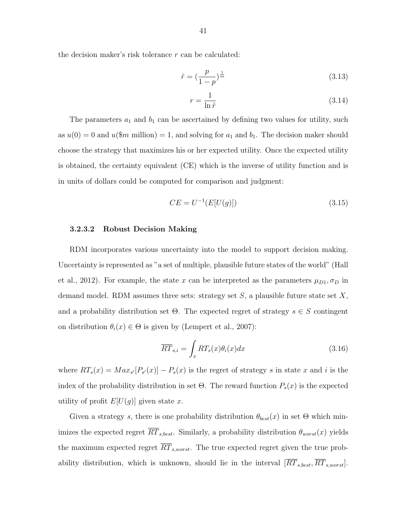the decision maker's risk tolerance  $r$  can be calculated:

$$
\tilde{r} = \left(\frac{p}{1-p}\right)^{\frac{1}{m}}\tag{3.13}
$$

$$
r = \frac{1}{\ln \tilde{r}}\tag{3.14}
$$

The parameters  $a_1$  and  $b_1$  can be ascertained by defining two values for utility, such as  $u(0) = 0$  and  $u(\text{\$}m$  million) = 1, and solving for  $a_1$  and  $b_1$ . The decision maker should choose the strategy that maximizes his or her expected utility. Once the expected utility is obtained, the certainty equivalent (CE) which is the inverse of utility function and is in units of dollars could be computed for comparison and judgment:

$$
CE = U^{-1}(E[U(g)])
$$
\n(3.15)

#### 3.2.3.2 Robust Decision Making

RDM incorporates various uncertainty into the model to support decision making. Uncertainty is represented as "a set of multiple, plausible future states of the world" (Hall et al., 2012). For example, the state x can be interpreted as the parameters  $\mu_{D1}, \sigma_D$  in demand model. RDM assumes three sets: strategy set  $S$ , a plausible future state set  $X$ , and a probability distribution set  $\Theta$ . The expected regret of strategy  $s \in S$  contingent on distribution  $\theta_i(x) \in \Theta$  is given by (Lempert et al., 2007):

$$
\overline{RT}_{s,i} = \int_{x} RT_s(x)\theta_i(x)dx\tag{3.16}
$$

where  $RT_s(x) = Max_{s'}[P_{s'}(x)] - P_s(x)$  is the regret of strategy s in state x and i is the index of the probability distribution in set  $\Theta$ . The reward function  $P_s(x)$  is the expected utility of profit  $E[U(g)]$  given state x.

Given a strategy s, there is one probability distribution  $\theta_{best}(x)$  in set  $\Theta$  which minimizes the expected regret  $\overline{RT}_{s,best}$ . Similarly, a probability distribution  $\theta_{worst}(x)$  yields the maximum expected regret  $\overline{RT}_{s,worst}$ . The true expected regret given the true probability distribution, which is unknown, should lie in the interval  $[RT<sub>s, best</sub>, RT<sub>s, worst</sub>].$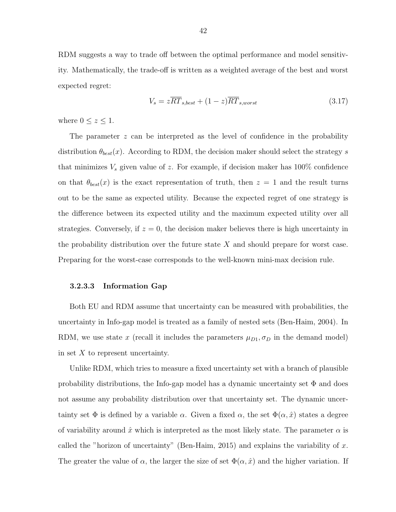<span id="page-50-0"></span>RDM suggests a way to trade off between the optimal performance and model sensitivity. Mathematically, the trade-off is written as a weighted average of the best and worst expected regret:

$$
V_s = z\overline{RT}_{s,best} + (1-z)\overline{RT}_{s,worst}
$$
\n(3.17)

where  $0 \leq z \leq 1$ .

The parameter z can be interpreted as the level of confidence in the probability distribution  $\theta_{best}(x)$ . According to RDM, the decision maker should select the strategy s that minimizes  $V_s$  given value of z. For example, if decision maker has 100% confidence on that  $\theta_{best}(x)$  is the exact representation of truth, then  $z = 1$  and the result turns out to be the same as expected utility. Because the expected regret of one strategy is the difference between its expected utility and the maximum expected utility over all strategies. Conversely, if  $z = 0$ , the decision maker believes there is high uncertainty in the probability distribution over the future state  $X$  and should prepare for worst case. Preparing for the worst-case corresponds to the well-known mini-max decision rule.

#### 3.2.3.3 Information Gap

Both EU and RDM assume that uncertainty can be measured with probabilities, the uncertainty in Info-gap model is treated as a family of nested sets (Ben-Haim, 2004). In RDM, we use state x (recall it includes the parameters  $\mu_{D1}, \sigma_D$  in the demand model) in set  $X$  to represent uncertainty.

Unlike RDM, which tries to measure a fixed uncertainty set with a branch of plausible probability distributions, the Info-gap model has a dynamic uncertainty set  $\Phi$  and does not assume any probability distribution over that uncertainty set. The dynamic uncertainty set  $\Phi$  is defined by a variable  $\alpha$ . Given a fixed  $\alpha$ , the set  $\Phi(\alpha, \hat{x})$  states a degree of variability around  $\hat{x}$  which is interpreted as the most likely state. The parameter  $\alpha$  is called the "horizon of uncertainty" (Ben-Haim, 2015) and explains the variability of x. The greater the value of  $\alpha$ , the larger the size of set  $\Phi(\alpha, \hat{x})$  and the higher variation. If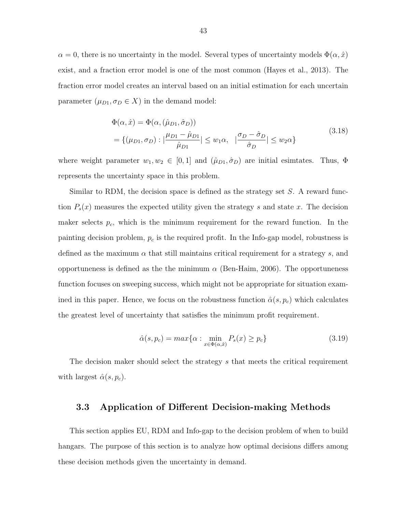<span id="page-51-0"></span> $\alpha = 0$ , there is no uncertainty in the model. Several types of uncertainty models  $\Phi(\alpha, \hat{x})$ exist, and a fraction error model is one of the most common (Hayes et al., 2013). The fraction error model creates an interval based on an initial estimation for each uncertain parameter  $(\mu_{D1}, \sigma_D \in X)$  in the demand model:

$$
\Phi(\alpha, \hat{x}) = \Phi(\alpha, (\hat{\mu}_{D1}, \hat{\sigma}_D))
$$
\n
$$
= \{(\mu_{D1}, \sigma_D) : |\frac{\mu_{D1} - \hat{\mu}_{D1}}{\hat{\mu}_{D1}}| \le w_1 \alpha, \quad |\frac{\sigma_D - \hat{\sigma}_D}{\hat{\sigma}_D}| \le w_2 \alpha\}
$$
\n(3.18)

where weight parameter  $w_1, w_2 \in [0, 1]$  and  $(\hat{\mu}_{D1}, \hat{\sigma}_D)$  are initial esimtates. Thus,  $\Phi$ represents the uncertainty space in this problem.

Similar to RDM, the decision space is defined as the strategy set  $S$ . A reward function  $P_s(x)$  measures the expected utility given the strategy s and state x. The decision maker selects  $p_c$ , which is the minimum requirement for the reward function. In the painting decision problem,  $p_c$  is the required profit. In the Info-gap model, robustness is defined as the maximum  $\alpha$  that still maintains critical requirement for a strategy s, and opportuneness is defined as the the minimum  $\alpha$  (Ben-Haim, 2006). The opportuneness function focuses on sweeping success, which might not be appropriate for situation examined in this paper. Hence, we focus on the robustness function  $\hat{\alpha}(s, p_c)$  which calculates the greatest level of uncertainty that satisfies the minimum profit requirement.

$$
\hat{\alpha}(s, p_c) = \max\{\alpha : \min_{x \in \Phi(\alpha, \hat{x})} P_s(x) \ge p_c\}
$$
\n(3.19)

The decision maker should select the strategy s that meets the critical requirement with largest  $\hat{\alpha}(s, p_c)$ .

#### 3.3 Application of Different Decision-making Methods

This section applies EU, RDM and Info-gap to the decision problem of when to build hangars. The purpose of this section is to analyze how optimal decisions differs among these decision methods given the uncertainty in demand.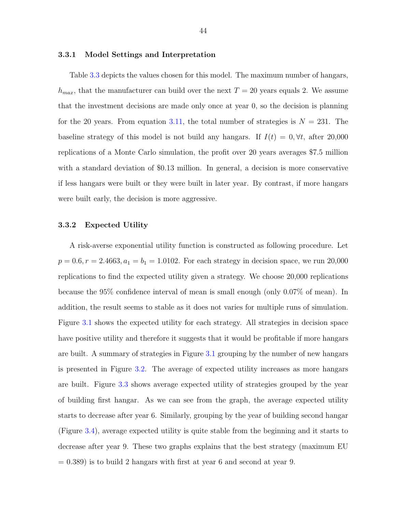#### 3.3.1 Model Settings and Interpretation

Table [3.3](#page-53-0) depicts the values chosen for this model. The maximum number of hangars,  $h_{max}$ , that the manufacturer can build over the next  $T = 20$  years equals 2. We assume that the investment decisions are made only once at year 0, so the decision is planning for the 20 years. From equation [3.11,](#page-48-0) the total number of strategies is  $N = 231$ . The baseline strategy of this model is not build any hangars. If  $I(t) = 0, \forall t$ , after 20,000 replications of a Monte Carlo simulation, the profit over 20 years averages \$7.5 million with a standard deviation of \$0.13 million. In general, a decision is more conservative if less hangars were built or they were built in later year. By contrast, if more hangars were built early, the decision is more aggressive.

#### 3.3.2 Expected Utility

A risk-averse exponential utility function is constructed as following procedure. Let  $p = 0.6, r = 2.4663, a_1 = b_1 = 1.0102$ . For each strategy in decision space, we run 20,000 replications to find the expected utility given a strategy. We choose 20,000 replications because the 95% confidence interval of mean is small enough (only 0.07% of mean). In addition, the result seems to stable as it does not varies for multiple runs of simulation. Figure [3.1](#page-54-0) shows the expected utility for each strategy. All strategies in decision space have positive utility and therefore it suggests that it would be profitable if more hangars are built. A summary of strategies in Figure [3.1](#page-54-0) grouping by the number of new hangars is presented in Figure [3.2.](#page-54-0) The average of expected utility increases as more hangars are built. Figure [3.3](#page-55-0) shows average expected utility of strategies grouped by the year of building first hangar. As we can see from the graph, the average expected utility starts to decrease after year 6. Similarly, grouping by the year of building second hangar (Figure [3.4\)](#page-55-0), average expected utility is quite stable from the beginning and it starts to decrease after year 9. These two graphs explains that the best strategy (maximum EU  $= 0.389$ ) is to build 2 hangars with first at year 6 and second at year 9.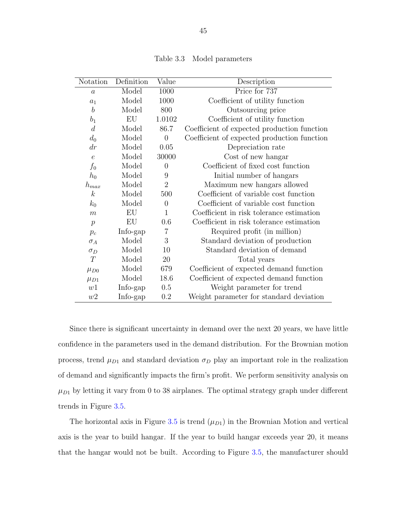<span id="page-53-0"></span>

| Notation           | Definition | Value            | Description                                 |
|--------------------|------------|------------------|---------------------------------------------|
| $\boldsymbol{a}$   | Model      | 1000             | Price for 737                               |
| $\boldsymbol{a}_1$ | Model      | 1000             | Coefficient of utility function             |
| $\boldsymbol{b}$   | Model      | 800              | Outsourcing price                           |
| $b_1$              | EU         | 1.0102           | Coefficient of utility function             |
| $\boldsymbol{d}$   | Model      | 86.7             | Coefficient of expected production function |
| $d_0$              | Model      | $\overline{0}$   | Coefficient of expected production function |
| $\,dr$             | Model      | 0.05             | Depreciation rate                           |
| $\epsilon$         | Model      | 30000            | Cost of new hangar                          |
| $f_0$              | Model      | $\boldsymbol{0}$ | Coefficient of fixed cost function          |
| $h_0$              | Model      | 9                | Initial number of hangars                   |
| $h_{max}$          | Model      | $\overline{2}$   | Maximum new hangars allowed                 |
| $\boldsymbol{k}$   | Model      | 500              | Coefficient of variable cost function       |
| $k_0$              | Model      | $\overline{0}$   | Coefficient of variable cost function       |
| $\boldsymbol{m}$   | EU         | $\mathbf{1}$     | Coefficient in risk tolerance estimation    |
| $\,p\,$            | EU         | 0.6              | Coefficient in risk tolerance estimation    |
| $p_c$              | Info-gap   | $\overline{7}$   | Required profit (in million)                |
| $\sigma_A$         | Model      | 3                | Standard deviation of production            |
| $\sigma_D$         | Model      | 10               | Standard deviation of demand                |
| T                  | Model      | 20               | Total years                                 |
| $\mu_{D0}$         | Model      | 679              | Coefficient of expected demand function     |
| $\mu_{D1}$         | Model      | 18.6             | Coefficient of expected demand function     |
| w1                 | Info-gap   | 0.5              | Weight parameter for trend                  |
| w2                 | Info-gap   | 0.2              | Weight parameter for standard deviation     |

Table 3.3 Model parameters

Since there is significant uncertainty in demand over the next 20 years, we have little confidence in the parameters used in the demand distribution. For the Brownian motion process, trend  $\mu_{D1}$  and standard deviation  $\sigma_D$  play an important role in the realization of demand and significantly impacts the firm's profit. We perform sensitivity analysis on  $\mu_{D1}$  by letting it vary from 0 to 38 airplanes. The optimal strategy graph under different trends in Figure [3.5.](#page-56-0)

The horizontal axis in Figure [3.5](#page-56-0) is trend  $(\mu_{D1})$  in the Brownian Motion and vertical axis is the year to build hangar. If the year to build hangar exceeds year 20, it means that the hangar would not be built. According to Figure [3.5,](#page-56-0) the manufacturer should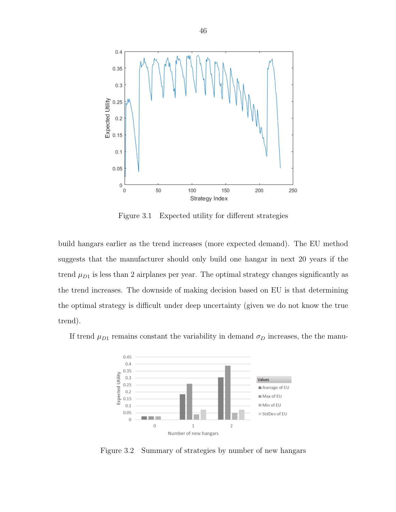<span id="page-54-0"></span>

Figure 3.1 Expected utility for different strategies

build hangars earlier as the trend increases (more expected demand). The EU method suggests that the manufacturer should only build one hangar in next 20 years if the trend  $\mu_{D1}$  is less than 2 airplanes per year. The optimal strategy changes significantly as the trend increases. The downside of making decision based on EU is that determining the optimal strategy is difficult under deep uncertainty (given we do not know the true trend).

If trend  $\mu_{D1}$  remains constant the variability in demand  $\sigma_D$  increases, the the manu-



Figure 3.2 Summary of strategies by number of new hangars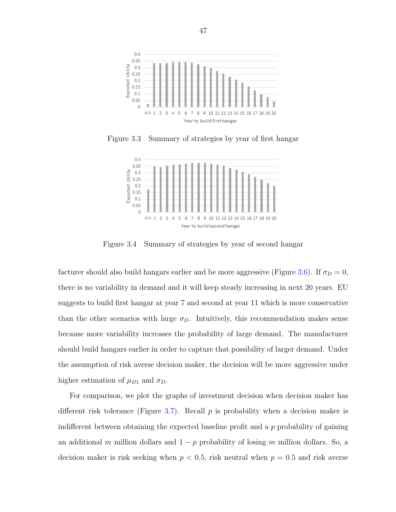<span id="page-55-0"></span>

Figure 3.3 Summary of strategies by year of first hangar



Figure 3.4 Summary of strategies by year of second hangar

facturer should also build hangars earlier and be more aggressive (Figure [3.6\)](#page-57-0). If  $\sigma_D = 0$ , there is no variability in demand and it will keep steady increasing in next 20 years. EU suggests to build first hangar at year 7 and second at year 11 which is more conservative than the other scenarios with large  $\sigma_D$ . Intuitively, this recommendation makes sense because more variability increases the probability of large demand. The manufacturer should build hangars earlier in order to capture that possibility of larger demand. Under the assumption of risk averse decision maker, the decision will be more aggressive under higher estimation of  $\mu_{D1}$  and  $\sigma_D$ .

For comparison, we plot the graphs of investment decision when decision maker has different risk tolerance (Figure [3.7\)](#page-58-0). Recall  $p$  is probability when a decision maker is indifferent between obtaining the expected baseline profit and a  $p$  probability of gaining an additional m million dollars and  $1 - p$  probability of losing m million dollars. So, a decision maker is risk seeking when  $p < 0.5$ , risk neutral when  $p = 0.5$  and risk averse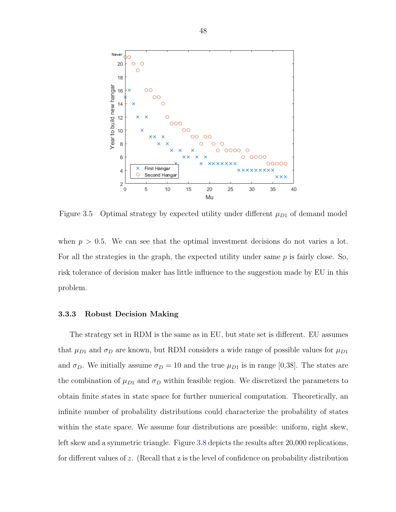<span id="page-56-0"></span>

Figure 3.5 Optimal strategy by expected utility under different  $\mu_{D1}$  of demand model

when  $p > 0.5$ . We can see that the optimal investment decisions do not varies a lot. For all the strategies in the graph, the expected utility under same  $p$  is fairly close. So, risk tolerance of decision maker has little influence to the suggestion made by EU in this problem.

#### 3.3.3 Robust Decision Making

The strategy set in RDM is the same as in EU, but state set is different. EU assumes that  $\mu_{D1}$  and  $\sigma_D$  are known, but RDM considers a wide range of possible values for  $\mu_{D1}$ and  $\sigma_D$ . We initially assume  $\sigma_D = 10$  and the true  $\mu_{D1}$  is in range [0,38]. The states are the combination of  $\mu_{D1}$  and  $\sigma_D$  within feasible region. We discretized the parameters to obtain finite states in state space for further numerical computation. Theoretically, an infinite number of probability distributions could characterize the probability of states within the state space. We assume four distributions are possible: uniform, right skew, left skew and a symmetric triangle. Figure [3.8](#page-59-0) depicts the results after 20,000 replications, for different values of z. (Recall that z is the level of confidence on probability distribution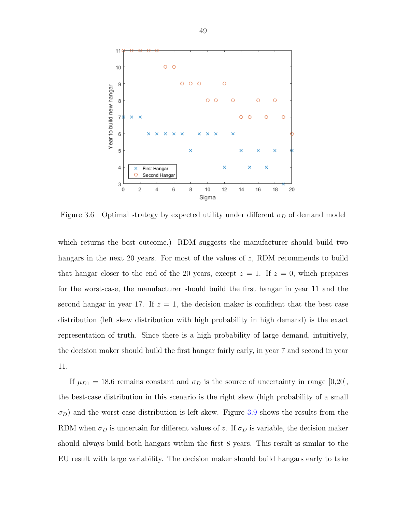<span id="page-57-0"></span>

Figure 3.6 Optimal strategy by expected utility under different  $\sigma_D$  of demand model

which returns the best outcome.) RDM suggests the manufacturer should build two hangars in the next 20 years. For most of the values of  $z$ , RDM recommends to build that hangar closer to the end of the 20 years, except  $z = 1$ . If  $z = 0$ , which prepares for the worst-case, the manufacturer should build the first hangar in year 11 and the second hangar in year 17. If  $z = 1$ , the decision maker is confident that the best case distribution (left skew distribution with high probability in high demand) is the exact representation of truth. Since there is a high probability of large demand, intuitively, the decision maker should build the first hangar fairly early, in year 7 and second in year 11.

If  $\mu_{D1} = 18.6$  remains constant and  $\sigma_D$  is the source of uncertainty in range [0,20], the best-case distribution in this scenario is the right skew (high probability of a small  $\sigma_D$ ) and the worst-case distribution is left skew. Figure [3.9](#page-60-0) shows the results from the RDM when  $\sigma_D$  is uncertain for different values of z. If  $\sigma_D$  is variable, the decision maker should always build both hangars within the first 8 years. This result is similar to the EU result with large variability. The decision maker should build hangars early to take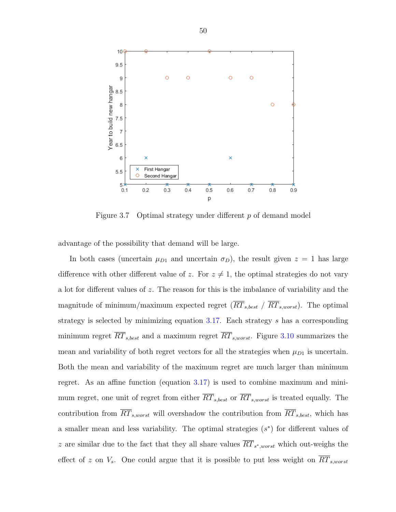<span id="page-58-0"></span>

Figure 3.7 Optimal strategy under different p of demand model

advantage of the possibility that demand will be large.

In both cases (uncertain  $\mu_{D1}$  and uncertain  $\sigma_D$ ), the result given  $z = 1$  has large difference with other different value of z. For  $z \neq 1$ , the optimal strategies do not vary a lot for different values of z. The reason for this is the imbalance of variability and the magnitude of minimum/maximum expected regret  $(\overline{RT}_{s, best} / \overline{RT}_{s, worst})$ . The optimal strategy is selected by minimizing equation [3.17.](#page-50-0) Each strategy s has a corresponding minimum regret  $\overline{RT}_{s,best}$  and a maximum regret  $\overline{RT}_{s,worst}$ . Figure [3.10](#page-61-0) summarizes the mean and variability of both regret vectors for all the strategies when  $\mu_{D1}$  is uncertain. Both the mean and variability of the maximum regret are much larger than minimum regret. As an affine function (equation [3.17\)](#page-50-0) is used to combine maximum and minimum regret, one unit of regret from either  $\overline{RT}_{s,best}$  or  $\overline{RT}_{s,worst}$  is treated equally. The contribution from  $\overline{RT}_{s,worst}$  will overshadow the contribution from  $\overline{RT}_{s,best}$ , which has a smaller mean and less variability. The optimal strategies  $(s^*)$  for different values of z are similar due to the fact that they all share values  $RT_{s^*,worst}$  which out-weighs the effect of z on  $V_s$ . One could argue that it is possible to put less weight on  $\overline{RT}_{s,worst}$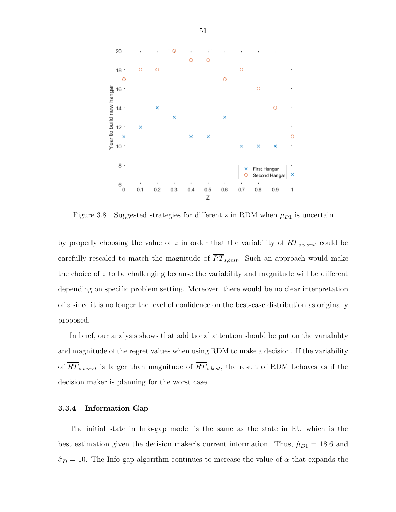<span id="page-59-0"></span>

Figure 3.8 Suggested strategies for different z in RDM when  $\mu_{D1}$  is uncertain

by properly choosing the value of z in order that the variability of  $\overline{RT}_{s,worst}$  could be carefully rescaled to match the magnitude of  $\overline{RT}_{s,best}$ . Such an approach would make the choice of z to be challenging because the variability and magnitude will be different depending on specific problem setting. Moreover, there would be no clear interpretation of z since it is no longer the level of confidence on the best-case distribution as originally proposed.

In brief, our analysis shows that additional attention should be put on the variability and magnitude of the regret values when using RDM to make a decision. If the variability of  $\overline{RT}_{s,worst}$  is larger than magnitude of  $\overline{RT}_{s,best}$ , the result of RDM behaves as if the decision maker is planning for the worst case.

#### 3.3.4 Information Gap

The initial state in Info-gap model is the same as the state in EU which is the best estimation given the decision maker's current information. Thus,  $\hat{\mu}_{D1} = 18.6$  and  $\hat{\sigma}_D = 10$ . The Info-gap algorithm continues to increase the value of  $\alpha$  that expands the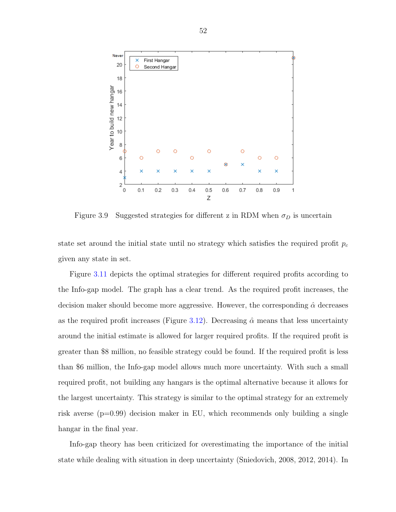<span id="page-60-0"></span>

Figure 3.9 Suggested strategies for different z in RDM when  $\sigma_D$  is uncertain

state set around the initial state until no strategy which satisfies the required profit  $p_c$ given any state in set.

Figure [3.11](#page-62-0) depicts the optimal strategies for different required profits according to the Info-gap model. The graph has a clear trend. As the required profit increases, the decision maker should become more aggressive. However, the corresponding  $\hat{\alpha}$  decreases as the required profit increases (Figure [3.12\)](#page-63-0). Decreasing  $\hat{\alpha}$  means that less uncertainty around the initial estimate is allowed for larger required profits. If the required profit is greater than \$8 million, no feasible strategy could be found. If the required profit is less than \$6 million, the Info-gap model allows much more uncertainty. With such a small required profit, not building any hangars is the optimal alternative because it allows for the largest uncertainty. This strategy is similar to the optimal strategy for an extremely risk averse (p=0.99) decision maker in EU, which recommends only building a single hangar in the final year.

Info-gap theory has been criticized for overestimating the importance of the initial state while dealing with situation in deep uncertainty (Sniedovich, 2008, 2012, 2014). In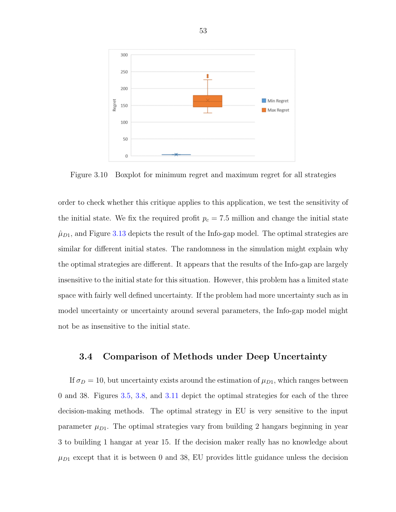<span id="page-61-0"></span>

Figure 3.10 Boxplot for minimum regret and maximum regret for all strategies

order to check whether this critique applies to this application, we test the sensitivity of the initial state. We fix the required profit  $p_c = 7.5$  million and change the initial state  $\hat{\mu}_{D1}$ , and Figure [3.13](#page-64-0) depicts the result of the Info-gap model. The optimal strategies are similar for different initial states. The randomness in the simulation might explain why the optimal strategies are different. It appears that the results of the Info-gap are largely insensitive to the initial state for this situation. However, this problem has a limited state space with fairly well defined uncertainty. If the problem had more uncertainty such as in model uncertainty or uncertainty around several parameters, the Info-gap model might not be as insensitive to the initial state.

## 3.4 Comparison of Methods under Deep Uncertainty

If  $\sigma_D = 10$ , but uncertainty exists around the estimation of  $\mu_{D1}$ , which ranges between 0 and 38. Figures [3.5,](#page-56-0) [3.8,](#page-59-0) and [3.11](#page-62-0) depict the optimal strategies for each of the three decision-making methods. The optimal strategy in EU is very sensitive to the input parameter  $\mu_{D1}$ . The optimal strategies vary from building 2 hangars beginning in year 3 to building 1 hangar at year 15. If the decision maker really has no knowledge about  $\mu_{D1}$  except that it is between 0 and 38, EU provides little guidance unless the decision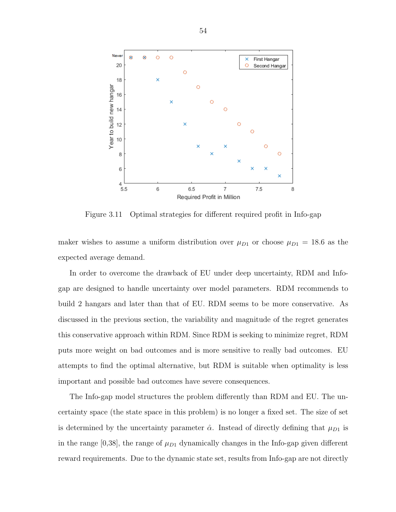<span id="page-62-0"></span>

Figure 3.11 Optimal strategies for different required profit in Info-gap

maker wishes to assume a uniform distribution over  $\mu_{D1}$  or choose  $\mu_{D1} = 18.6$  as the expected average demand.

In order to overcome the drawback of EU under deep uncertainty, RDM and Infogap are designed to handle uncertainty over model parameters. RDM recommends to build 2 hangars and later than that of EU. RDM seems to be more conservative. As discussed in the previous section, the variability and magnitude of the regret generates this conservative approach within RDM. Since RDM is seeking to minimize regret, RDM puts more weight on bad outcomes and is more sensitive to really bad outcomes. EU attempts to find the optimal alternative, but RDM is suitable when optimality is less important and possible bad outcomes have severe consequences.

The Info-gap model structures the problem differently than RDM and EU. The uncertainty space (the state space in this problem) is no longer a fixed set. The size of set is determined by the uncertainty parameter  $\hat{\alpha}$ . Instead of directly defining that  $\mu_{D1}$  is in the range [0,38], the range of  $\mu_{D1}$  dynamically changes in the Info-gap given different reward requirements. Due to the dynamic state set, results from Info-gap are not directly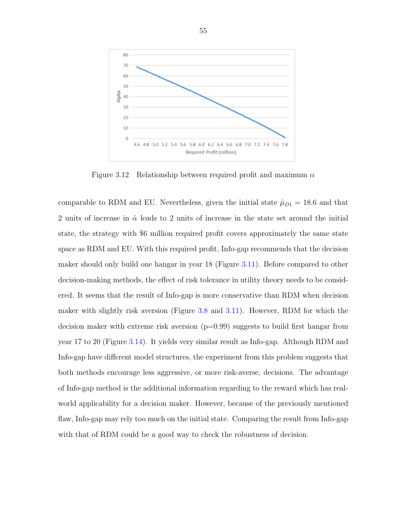<span id="page-63-0"></span>

Figure 3.12 Relationship between required profit and maximum  $\alpha$ 

comparable to RDM and EU. Nevertheless, given the initial state  $\hat{\mu}_{D1} = 18.6$  and that 2 units of increase in  $\hat{\alpha}$  leads to 2 units of increase in the state set around the initial state, the strategy with \$6 million required profit covers approximately the same state space as RDM and EU. With this required profit, Info-gap recommends that the decision maker should only build one hangar in year 18 (Figure [3.11\)](#page-62-0). Before compared to other decision-making methods, the effect of risk tolerance in utility theory needs to be considered. It seems that the result of Info-gap is more conservative than RDM when decision maker with slightly risk aversion (Figure [3.8](#page-59-0) and [3.11\)](#page-62-0). However, RDM for which the decision maker with extreme risk aversion  $(p=0.99)$  suggests to build first hangar from year 17 to 20 (Figure [3.14\)](#page-65-0). It yields very similar result as Info-gap. Although RDM and Info-gap have different model structures, the experiment from this problem suggests that both methods encourage less aggressive, or more risk-averse, decisions. The advantage of Info-gap method is the additional information regarding to the reward which has realworld applicability for a decision maker. However, because of the previously mentioned flaw, Info-gap may rely too much on the initial state. Comparing the result from Info-gap with that of RDM could be a good way to check the robustness of decision.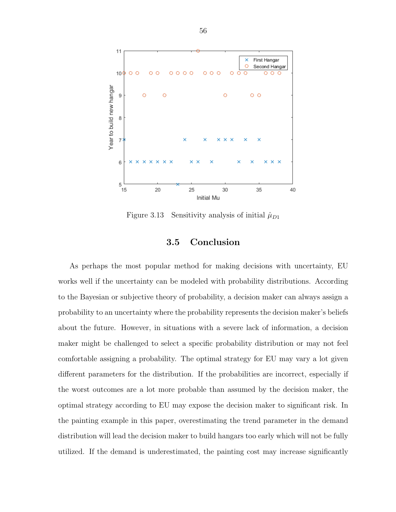<span id="page-64-0"></span>

Figure 3.13 Sensitivity analysis of initial  $\hat{\mu}_{D1}$ 

## 3.5 Conclusion

As perhaps the most popular method for making decisions with uncertainty, EU works well if the uncertainty can be modeled with probability distributions. According to the Bayesian or subjective theory of probability, a decision maker can always assign a probability to an uncertainty where the probability represents the decision maker's beliefs about the future. However, in situations with a severe lack of information, a decision maker might be challenged to select a specific probability distribution or may not feel comfortable assigning a probability. The optimal strategy for EU may vary a lot given different parameters for the distribution. If the probabilities are incorrect, especially if the worst outcomes are a lot more probable than assumed by the decision maker, the optimal strategy according to EU may expose the decision maker to significant risk. In the painting example in this paper, overestimating the trend parameter in the demand distribution will lead the decision maker to build hangars too early which will not be fully utilized. If the demand is underestimated, the painting cost may increase significantly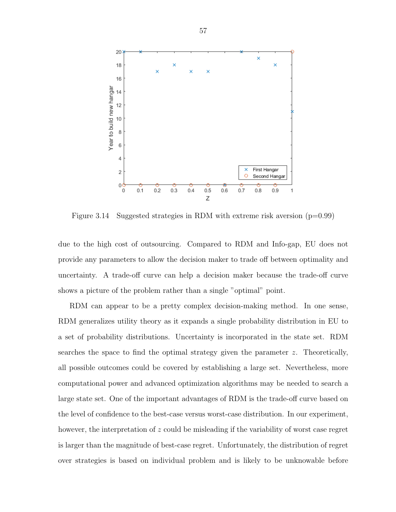<span id="page-65-0"></span>

Figure 3.14 Suggested strategies in RDM with extreme risk aversion  $(p=0.99)$ 

due to the high cost of outsourcing. Compared to RDM and Info-gap, EU does not provide any parameters to allow the decision maker to trade off between optimality and uncertainty. A trade-off curve can help a decision maker because the trade-off curve shows a picture of the problem rather than a single "optimal" point.

RDM can appear to be a pretty complex decision-making method. In one sense, RDM generalizes utility theory as it expands a single probability distribution in EU to a set of probability distributions. Uncertainty is incorporated in the state set. RDM searches the space to find the optimal strategy given the parameter  $z$ . Theoretically, all possible outcomes could be covered by establishing a large set. Nevertheless, more computational power and advanced optimization algorithms may be needed to search a large state set. One of the important advantages of RDM is the trade-off curve based on the level of confidence to the best-case versus worst-case distribution. In our experiment, however, the interpretation of z could be misleading if the variability of worst case regret is larger than the magnitude of best-case regret. Unfortunately, the distribution of regret over strategies is based on individual problem and is likely to be unknowable before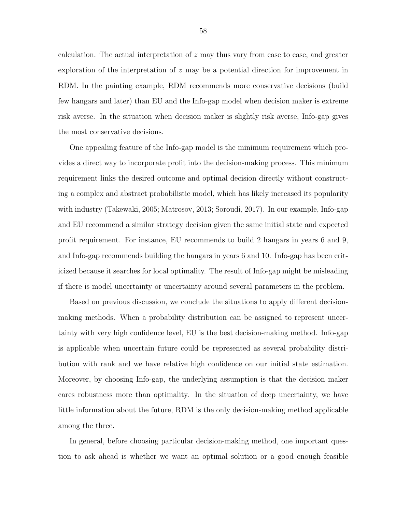calculation. The actual interpretation of z may thus vary from case to case, and greater exploration of the interpretation of  $z$  may be a potential direction for improvement in RDM. In the painting example, RDM recommends more conservative decisions (build few hangars and later) than EU and the Info-gap model when decision maker is extreme risk averse. In the situation when decision maker is slightly risk averse, Info-gap gives the most conservative decisions.

One appealing feature of the Info-gap model is the minimum requirement which provides a direct way to incorporate profit into the decision-making process. This minimum requirement links the desired outcome and optimal decision directly without constructing a complex and abstract probabilistic model, which has likely increased its popularity with industry (Takewaki, 2005; Matrosov, 2013; Soroudi, 2017). In our example, Info-gap and EU recommend a similar strategy decision given the same initial state and expected profit requirement. For instance, EU recommends to build 2 hangars in years 6 and 9, and Info-gap recommends building the hangars in years 6 and 10. Info-gap has been criticized because it searches for local optimality. The result of Info-gap might be misleading if there is model uncertainty or uncertainty around several parameters in the problem.

Based on previous discussion, we conclude the situations to apply different decisionmaking methods. When a probability distribution can be assigned to represent uncertainty with very high confidence level, EU is the best decision-making method. Info-gap is applicable when uncertain future could be represented as several probability distribution with rank and we have relative high confidence on our initial state estimation. Moreover, by choosing Info-gap, the underlying assumption is that the decision maker cares robustness more than optimality. In the situation of deep uncertainty, we have little information about the future, RDM is the only decision-making method applicable among the three.

In general, before choosing particular decision-making method, one important question to ask ahead is whether we want an optimal solution or a good enough feasible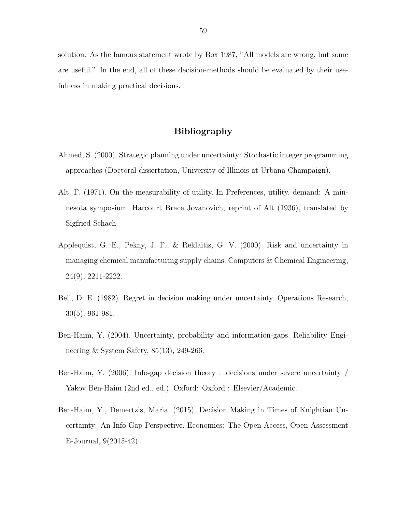solution. As the famous statement wrote by Box 1987, "All models are wrong, but some are useful." In the end, all of these decision-methods should be evaluated by their usefulness in making practical decisions.

## Bibliography

- Ahmed, S. (2000). Strategic planning under uncertainty: Stochastic integer programming approaches (Doctoral dissertation, University of Illinois at Urbana-Champaign).
- Alt, F. (1971). On the measurability of utility. In Preferences, utility, demand: A minnesota symposium. Harcourt Brace Jovanovich, reprint of Alt (1936), translated by Sigfried Schach.
- Applequist, G. E., Pekny, J. F., & Reklaitis, G. V. (2000). Risk and uncertainty in managing chemical manufacturing supply chains. Computers & Chemical Engineering, 24(9), 2211-2222.
- Bell, D. E. (1982). Regret in decision making under uncertainty. Operations Research, 30(5), 961-981.
- Ben-Haim, Y. (2004). Uncertainty, probability and information-gaps. Reliability Engineering & System Safety, 85(13), 249-266.
- Ben-Haim, Y. (2006). Info-gap decision theory : decisions under severe uncertainty / Yakov Ben-Haim (2nd ed.. ed.). Oxford: Oxford : Elsevier/Academic.
- Ben-Haim, Y., Demertzis, Maria. (2015). Decision Making in Times of Knightian Uncertainty: An Info-Gap Perspective. Economics: The Open-Access, Open Assessment E-Journal, 9(2015-42).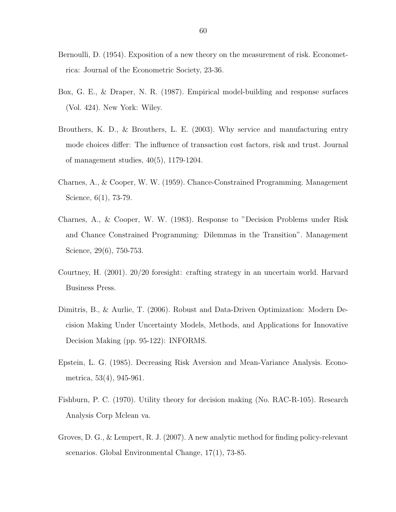- Bernoulli, D. (1954). Exposition of a new theory on the measurement of risk. Econometrica: Journal of the Econometric Society, 23-36.
- Box, G. E., & Draper, N. R. (1987). Empirical model-building and response surfaces (Vol. 424). New York: Wiley.
- Brouthers, K. D., & Brouthers, L. E. (2003). Why service and manufacturing entry mode choices differ: The influence of transaction cost factors, risk and trust. Journal of management studies, 40(5), 1179-1204.
- Charnes, A., & Cooper, W. W. (1959). Chance-Constrained Programming. Management Science, 6(1), 73-79.
- Charnes, A., & Cooper, W. W. (1983). Response to "Decision Problems under Risk and Chance Constrained Programming: Dilemmas in the Transition". Management Science, 29(6), 750-753.
- Courtney, H. (2001). 20/20 foresight: crafting strategy in an uncertain world. Harvard Business Press.
- Dimitris, B., & Aurlie, T. (2006). Robust and Data-Driven Optimization: Modern Decision Making Under Uncertainty Models, Methods, and Applications for Innovative Decision Making (pp. 95-122): INFORMS.
- Epstein, L. G. (1985). Decreasing Risk Aversion and Mean-Variance Analysis. Econometrica, 53(4), 945-961.
- Fishburn, P. C. (1970). Utility theory for decision making (No. RAC-R-105). Research Analysis Corp Mclean va.
- Groves, D. G., & Lempert, R. J. (2007). A new analytic method for finding policy-relevant scenarios. Global Environmental Change, 17(1), 73-85.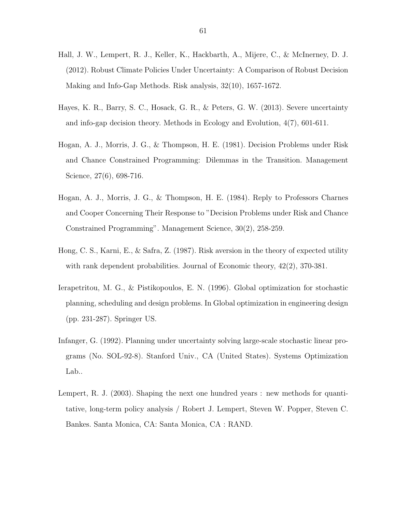- Hall, J. W., Lempert, R. J., Keller, K., Hackbarth, A., Mijere, C., & McInerney, D. J. (2012). Robust Climate Policies Under Uncertainty: A Comparison of Robust Decision Making and Info-Gap Methods. Risk analysis, 32(10), 1657-1672.
- Hayes, K. R., Barry, S. C., Hosack, G. R., & Peters, G. W. (2013). Severe uncertainty and info-gap decision theory. Methods in Ecology and Evolution, 4(7), 601-611.
- Hogan, A. J., Morris, J. G., & Thompson, H. E. (1981). Decision Problems under Risk and Chance Constrained Programming: Dilemmas in the Transition. Management Science, 27(6), 698-716.
- Hogan, A. J., Morris, J. G., & Thompson, H. E. (1984). Reply to Professors Charnes and Cooper Concerning Their Response to "Decision Problems under Risk and Chance Constrained Programming". Management Science, 30(2), 258-259.
- Hong, C. S., Karni, E., & Safra, Z. (1987). Risk aversion in the theory of expected utility with rank dependent probabilities. Journal of Economic theory, 42(2), 370-381.
- Ierapetritou, M. G., & Pistikopoulos, E. N. (1996). Global optimization for stochastic planning, scheduling and design problems. In Global optimization in engineering design (pp. 231-287). Springer US.
- Infanger, G. (1992). Planning under uncertainty solving large-scale stochastic linear programs (No. SOL-92-8). Stanford Univ., CA (United States). Systems Optimization Lab..
- Lempert, R. J. (2003). Shaping the next one hundred years : new methods for quantitative, long-term policy analysis / Robert J. Lempert, Steven W. Popper, Steven C. Bankes. Santa Monica, CA: Santa Monica, CA : RAND.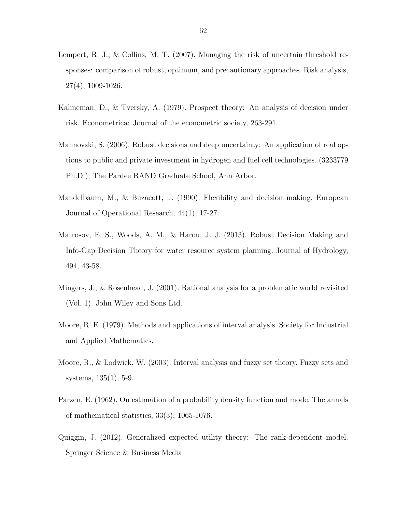- Lempert, R. J., & Collins, M. T. (2007). Managing the risk of uncertain threshold responses: comparison of robust, optimum, and precautionary approaches. Risk analysis, 27(4), 1009-1026.
- Kahneman, D., & Tversky, A. (1979). Prospect theory: An analysis of decision under risk. Econometrica: Journal of the econometric society, 263-291.
- Mahnovski, S. (2006). Robust decisions and deep uncertainty: An application of real options to public and private investment in hydrogen and fuel cell technologies. (3233779 Ph.D.), The Pardee RAND Graduate School, Ann Arbor.
- Mandelbaum, M., & Buzacott, J. (1990). Flexibility and decision making. European Journal of Operational Research, 44(1), 17-27.
- Matrosov, E. S., Woods, A. M., & Harou, J. J. (2013). Robust Decision Making and Info-Gap Decision Theory for water resource system planning. Journal of Hydrology, 494, 43-58.
- Mingers, J., & Rosenhead, J. (2001). Rational analysis for a problematic world revisited (Vol. 1). John Wiley and Sons Ltd.
- Moore, R. E. (1979). Methods and applications of interval analysis. Society for Industrial and Applied Mathematics.
- Moore, R., & Lodwick, W. (2003). Interval analysis and fuzzy set theory. Fuzzy sets and systems, 135(1), 5-9.
- Parzen, E. (1962). On estimation of a probability density function and mode. The annals of mathematical statistics, 33(3), 1065-1076.
- Quiggin, J. (2012). Generalized expected utility theory: The rank-dependent model. Springer Science & Business Media.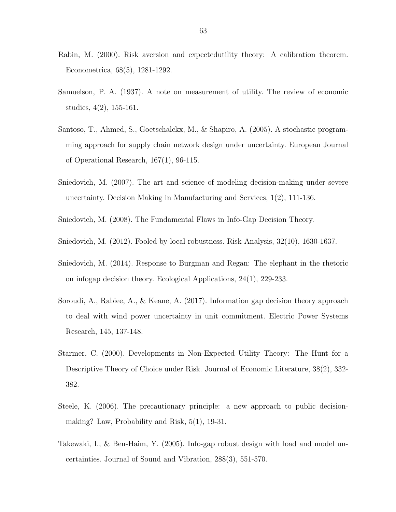- Rabin, M. (2000). Risk aversion and expectedutility theory: A calibration theorem. Econometrica, 68(5), 1281-1292.
- Samuelson, P. A. (1937). A note on measurement of utility. The review of economic studies, 4(2), 155-161.
- Santoso, T., Ahmed, S., Goetschalckx, M., & Shapiro, A. (2005). A stochastic programming approach for supply chain network design under uncertainty. European Journal of Operational Research, 167(1), 96-115.
- Sniedovich, M. (2007). The art and science of modeling decision-making under severe uncertainty. Decision Making in Manufacturing and Services, 1(2), 111-136.
- Sniedovich, M. (2008). The Fundamental Flaws in Info-Gap Decision Theory.
- Sniedovich, M. (2012). Fooled by local robustness. Risk Analysis, 32(10), 1630-1637.
- Sniedovich, M. (2014). Response to Burgman and Regan: The elephant in the rhetoric on infogap decision theory. Ecological Applications, 24(1), 229-233.
- Soroudi, A., Rabiee, A., & Keane, A. (2017). Information gap decision theory approach to deal with wind power uncertainty in unit commitment. Electric Power Systems Research, 145, 137-148.
- Starmer, C. (2000). Developments in Non-Expected Utility Theory: The Hunt for a Descriptive Theory of Choice under Risk. Journal of Economic Literature, 38(2), 332- 382.
- Steele, K. (2006). The precautionary principle: a new approach to public decisionmaking? Law, Probability and Risk, 5(1), 19-31.
- Takewaki, I., & Ben-Haim, Y. (2005). Info-gap robust design with load and model uncertainties. Journal of Sound and Vibration, 288(3), 551-570.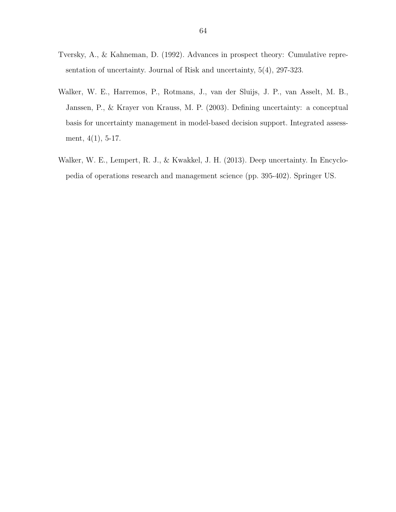- Tversky, A., & Kahneman, D. (1992). Advances in prospect theory: Cumulative representation of uncertainty. Journal of Risk and uncertainty, 5(4), 297-323.
- Walker, W. E., Harremos, P., Rotmans, J., van der Sluijs, J. P., van Asselt, M. B., Janssen, P., & Krayer von Krauss, M. P. (2003). Defining uncertainty: a conceptual basis for uncertainty management in model-based decision support. Integrated assessment, 4(1), 5-17.
- Walker, W. E., Lempert, R. J., & Kwakkel, J. H. (2013). Deep uncertainty. In Encyclopedia of operations research and management science (pp. 395-402). Springer US.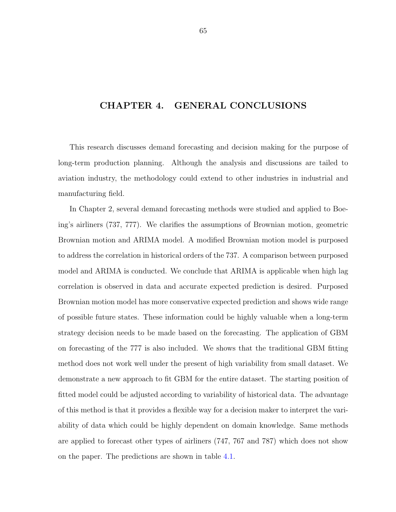## CHAPTER 4. GENERAL CONCLUSIONS

This research discusses demand forecasting and decision making for the purpose of long-term production planning. Although the analysis and discussions are tailed to aviation industry, the methodology could extend to other industries in industrial and manufacturing field.

In Chapter 2, several demand forecasting methods were studied and applied to Boeing's airliners (737, 777). We clarifies the assumptions of Brownian motion, geometric Brownian motion and ARIMA model. A modified Brownian motion model is purposed to address the correlation in historical orders of the 737. A comparison between purposed model and ARIMA is conducted. We conclude that ARIMA is applicable when high lag correlation is observed in data and accurate expected prediction is desired. Purposed Brownian motion model has more conservative expected prediction and shows wide range of possible future states. These information could be highly valuable when a long-term strategy decision needs to be made based on the forecasting. The application of GBM on forecasting of the 777 is also included. We shows that the traditional GBM fitting method does not work well under the present of high variability from small dataset. We demonstrate a new approach to fit GBM for the entire dataset. The starting position of fitted model could be adjusted according to variability of historical data. The advantage of this method is that it provides a flexible way for a decision maker to interpret the variability of data which could be highly dependent on domain knowledge. Same methods are applied to forecast other types of airliners (747, 767 and 787) which does not show on the paper. The predictions are shown in table [4.1.](#page-74-0)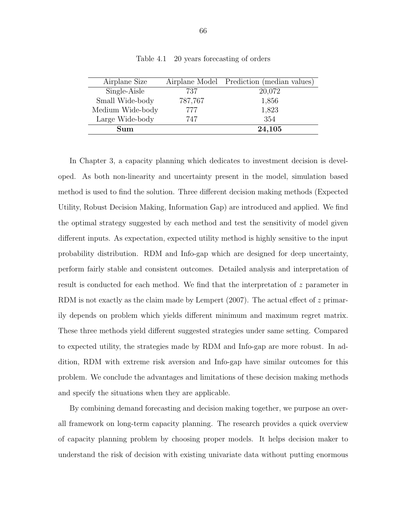<span id="page-74-0"></span>

| Airplane Size    |         | Airplane Model Prediction (median values) |
|------------------|---------|-------------------------------------------|
| Single-Aisle     | 737     | 20,072                                    |
| Small Wide-body  | 787,767 | 1,856                                     |
| Medium Wide-body | 777     | 1,823                                     |
| Large Wide-body  | 747     | 354                                       |
| Sum              |         | 24,105                                    |

Table 4.1 20 years forecasting of orders

In Chapter 3, a capacity planning which dedicates to investment decision is developed. As both non-linearity and uncertainty present in the model, simulation based method is used to find the solution. Three different decision making methods (Expected Utility, Robust Decision Making, Information Gap) are introduced and applied. We find the optimal strategy suggested by each method and test the sensitivity of model given different inputs. As expectation, expected utility method is highly sensitive to the input probability distribution. RDM and Info-gap which are designed for deep uncertainty, perform fairly stable and consistent outcomes. Detailed analysis and interpretation of result is conducted for each method. We find that the interpretation of z parameter in RDM is not exactly as the claim made by Lempert (2007). The actual effect of z primarily depends on problem which yields different minimum and maximum regret matrix. These three methods yield different suggested strategies under same setting. Compared to expected utility, the strategies made by RDM and Info-gap are more robust. In addition, RDM with extreme risk aversion and Info-gap have similar outcomes for this problem. We conclude the advantages and limitations of these decision making methods and specify the situations when they are applicable.

By combining demand forecasting and decision making together, we purpose an overall framework on long-term capacity planning. The research provides a quick overview of capacity planning problem by choosing proper models. It helps decision maker to understand the risk of decision with existing univariate data without putting enormous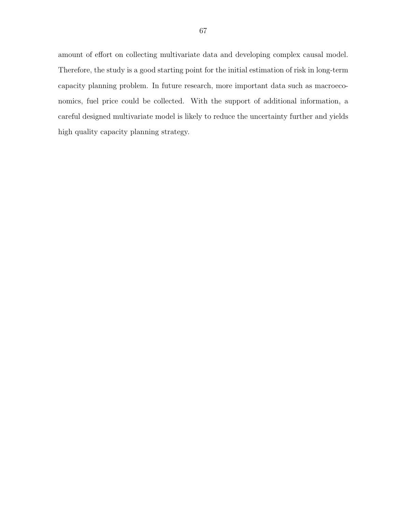amount of effort on collecting multivariate data and developing complex causal model. Therefore, the study is a good starting point for the initial estimation of risk in long-term capacity planning problem. In future research, more important data such as macroeconomics, fuel price could be collected. With the support of additional information, a careful designed multivariate model is likely to reduce the uncertainty further and yields high quality capacity planning strategy.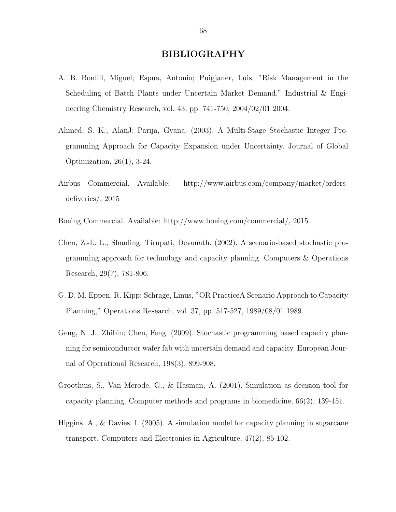## BIBLIOGRAPHY

- A. B. Bonfill, Miguel; Espua, Antonio; Puigjaner, Luis, "Risk Management in the Scheduling of Batch Plants under Uncertain Market Demand," Industrial & Engineering Chemistry Research, vol. 43, pp. 741-750, 2004/02/01 2004.
- Ahmed, S. K., AlanJ; Parija, Gyana. (2003). A Multi-Stage Stochastic Integer Programming Approach for Capacity Expansion under Uncertainty. Journal of Global Optimization, 26(1), 3-24.
- Airbus Commercial. Available: http://www.airbus.com/company/market/ordersdeliveries/, 2015
- Boeing Commercial. Available: http://www.boeing.com/commercial/, 2015
- Chen, Z.-L. L., Shanling; Tirupati, Devanath. (2002). A scenario-based stochastic programming approach for technology and capacity planning. Computers & Operations Research, 29(7), 781-806.
- G. D. M. Eppen, R. Kipp; Schrage, Linus, "OR PracticeA Scenario Approach to Capacity Planning," Operations Research, vol. 37, pp. 517-527, 1989/08/01 1989.
- Geng, N. J., Zhibin; Chen, Feng. (2009). Stochastic programming based capacity planning for semiconductor wafer fab with uncertain demand and capacity. European Journal of Operational Research, 198(3), 899-908.
- Groothuis, S., Van Merode, G., & Hasman, A. (2001). Simulation as decision tool for capacity planning. Computer methods and programs in biomedicine, 66(2), 139-151.
- Higgins, A., & Davies, I. (2005). A simulation model for capacity planning in sugarcane transport. Computers and Electronics in Agriculture, 47(2), 85-102.